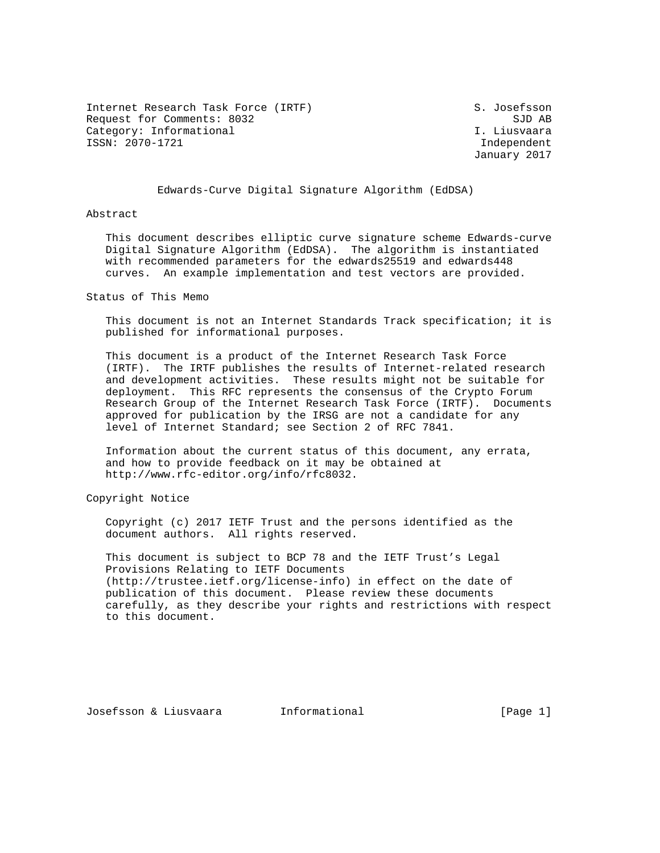Internet Research Task Force (IRTF) S. Josefsson Request for Comments: 8032 SJD AB Category: Informational intervals of the U. Liusvaara ISSN: 2070-1721 Independent

January 2017

# Edwards-Curve Digital Signature Algorithm (EdDSA)

Abstract

 This document describes elliptic curve signature scheme Edwards-curve Digital Signature Algorithm (EdDSA). The algorithm is instantiated with recommended parameters for the edwards25519 and edwards448 curves. An example implementation and test vectors are provided.

Status of This Memo

 This document is not an Internet Standards Track specification; it is published for informational purposes.

 This document is a product of the Internet Research Task Force (IRTF). The IRTF publishes the results of Internet-related research and development activities. These results might not be suitable for deployment. This RFC represents the consensus of the Crypto Forum Research Group of the Internet Research Task Force (IRTF). Documents approved for publication by the IRSG are not a candidate for any level of Internet Standard; see Section 2 of RFC 7841.

 Information about the current status of this document, any errata, and how to provide feedback on it may be obtained at http://www.rfc-editor.org/info/rfc8032.

Copyright Notice

 Copyright (c) 2017 IETF Trust and the persons identified as the document authors. All rights reserved.

 This document is subject to BCP 78 and the IETF Trust's Legal Provisions Relating to IETF Documents (http://trustee.ietf.org/license-info) in effect on the date of publication of this document. Please review these documents carefully, as they describe your rights and restrictions with respect to this document.

Josefsson & Liusvaara Informational [Page 1]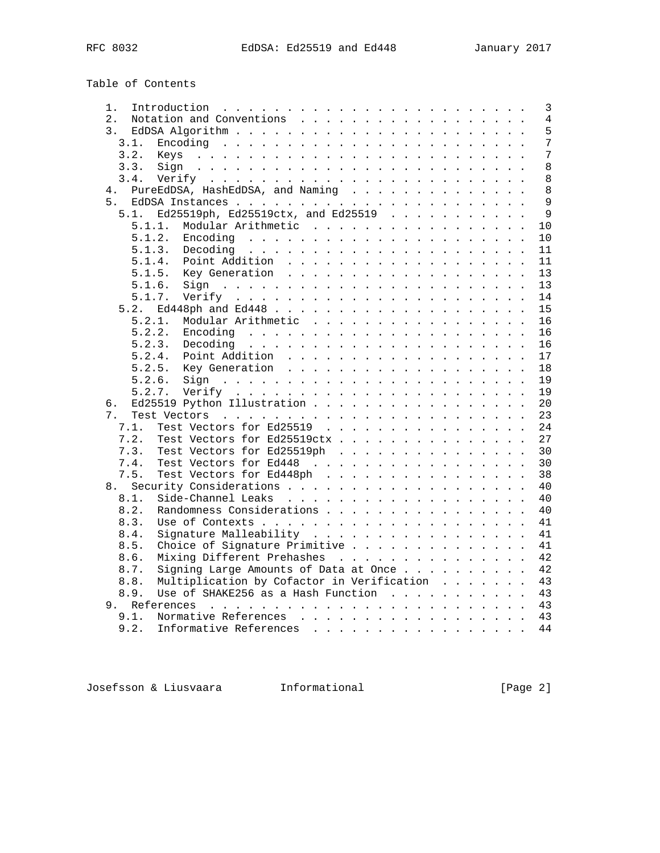Table of Contents

| 1.                                                                                                       | 3  |
|----------------------------------------------------------------------------------------------------------|----|
| 2.<br>Notation and Conventions                                                                           | 4  |
| 3.                                                                                                       | 5  |
| 3.1.                                                                                                     | 7  |
| 3.2.                                                                                                     | 7  |
| 3.3.<br>Sign                                                                                             | 8  |
| 3.4.                                                                                                     | 8  |
| PureEdDSA, HashEdDSA, and Naming<br>4.                                                                   | 8  |
| 5.                                                                                                       | 9  |
| Ed25519ph, Ed25519ctx, and Ed25519<br>5.1.                                                               | 9  |
| 5.1.1.<br>Modular Arithmetic                                                                             | 10 |
| 5.1.2.                                                                                                   | 10 |
|                                                                                                          |    |
| 5.1.3.                                                                                                   | 11 |
| 5.1.4.                                                                                                   | 11 |
| 5.1.5.<br>Key Generation                                                                                 | 13 |
| 5.1.6.                                                                                                   | 13 |
| 5.1.7.                                                                                                   | 14 |
| 5.2.                                                                                                     | 15 |
| 5.2.1.<br>Modular Arithmetic                                                                             | 16 |
| 5.2.2.                                                                                                   | 16 |
| 5.2.3.<br>Decoding $\cdots$ , $\cdots$ , $\cdots$ , $\cdots$ , $\cdots$ , $\cdots$ , $\cdots$ , $\cdots$ | 16 |
| 5.2.4.<br>Point Addition                                                                                 | 17 |
| 5.2.5.                                                                                                   | 18 |
| 5.2.6.                                                                                                   | 19 |
| 5.2.7.                                                                                                   | 19 |
| б.                                                                                                       | 20 |
| 7.                                                                                                       | 23 |
| Test Vectors for Ed25519<br>7.1.                                                                         | 24 |
| Test Vectors for Ed25519ctx<br>7.2.                                                                      | 27 |
| Test Vectors for Ed25519ph<br>7.3.                                                                       | 30 |
| Test Vectors for Ed448<br>7.4.                                                                           | 30 |
| Test Vectors for Ed448ph<br>7.5.                                                                         | 38 |
| 8.                                                                                                       | 40 |
| 8.1.                                                                                                     | 40 |
| Randomness Considerations<br>8.2.                                                                        | 40 |
| 8.3.                                                                                                     | 41 |
| 8.4.                                                                                                     | 41 |
| Signature Malleability                                                                                   |    |
| Choice of Signature Primitive<br>8.5.                                                                    | 41 |
| Mixing Different Prehashes<br>8.6.                                                                       | 42 |
| Signing Large Amounts of Data at Once<br>8.7.                                                            | 42 |
| Multiplication by Cofactor in Verification<br>8.8.                                                       | 43 |
| Use of SHAKE256 as a Hash Function $\cdots$ ,<br>8.9.                                                    | 43 |
| 9.                                                                                                       | 43 |
| 9.1.<br>Normative References                                                                             | 43 |
| 9.2.<br>Informative References                                                                           | 44 |

Josefsson & Liusvaara Informational [Page 2]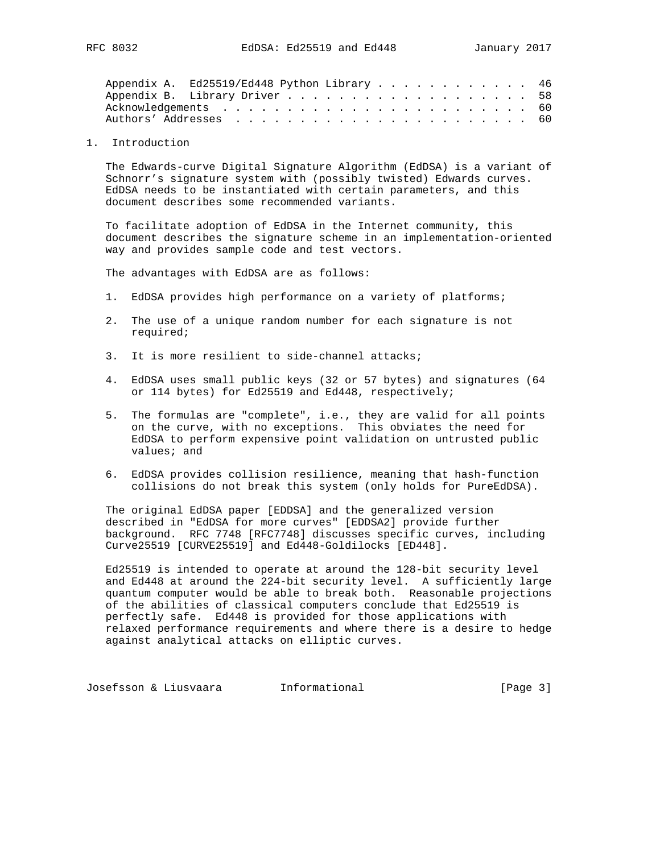| Appendix A. Ed25519/Ed448 Python Library 46 |  |  |  |  |  |  |  |  |  |  |  |  |
|---------------------------------------------|--|--|--|--|--|--|--|--|--|--|--|--|
|                                             |  |  |  |  |  |  |  |  |  |  |  |  |
|                                             |  |  |  |  |  |  |  |  |  |  |  |  |
|                                             |  |  |  |  |  |  |  |  |  |  |  |  |

1. Introduction

 The Edwards-curve Digital Signature Algorithm (EdDSA) is a variant of Schnorr's signature system with (possibly twisted) Edwards curves. EdDSA needs to be instantiated with certain parameters, and this document describes some recommended variants.

 To facilitate adoption of EdDSA in the Internet community, this document describes the signature scheme in an implementation-oriented way and provides sample code and test vectors.

The advantages with EdDSA are as follows:

- 1. EdDSA provides high performance on a variety of platforms;
- 2. The use of a unique random number for each signature is not required;
- 3. It is more resilient to side-channel attacks;
- 4. EdDSA uses small public keys (32 or 57 bytes) and signatures (64 or 114 bytes) for Ed25519 and Ed448, respectively;
- 5. The formulas are "complete", i.e., they are valid for all points on the curve, with no exceptions. This obviates the need for EdDSA to perform expensive point validation on untrusted public values; and
- 6. EdDSA provides collision resilience, meaning that hash-function collisions do not break this system (only holds for PureEdDSA).

 The original EdDSA paper [EDDSA] and the generalized version described in "EdDSA for more curves" [EDDSA2] provide further background. RFC 7748 [RFC7748] discusses specific curves, including Curve25519 [CURVE25519] and Ed448-Goldilocks [ED448].

 Ed25519 is intended to operate at around the 128-bit security level and Ed448 at around the 224-bit security level. A sufficiently large quantum computer would be able to break both. Reasonable projections of the abilities of classical computers conclude that Ed25519 is perfectly safe. Ed448 is provided for those applications with relaxed performance requirements and where there is a desire to hedge against analytical attacks on elliptic curves.

Josefsson & Liusvaara and Informational and Informational [Page 3]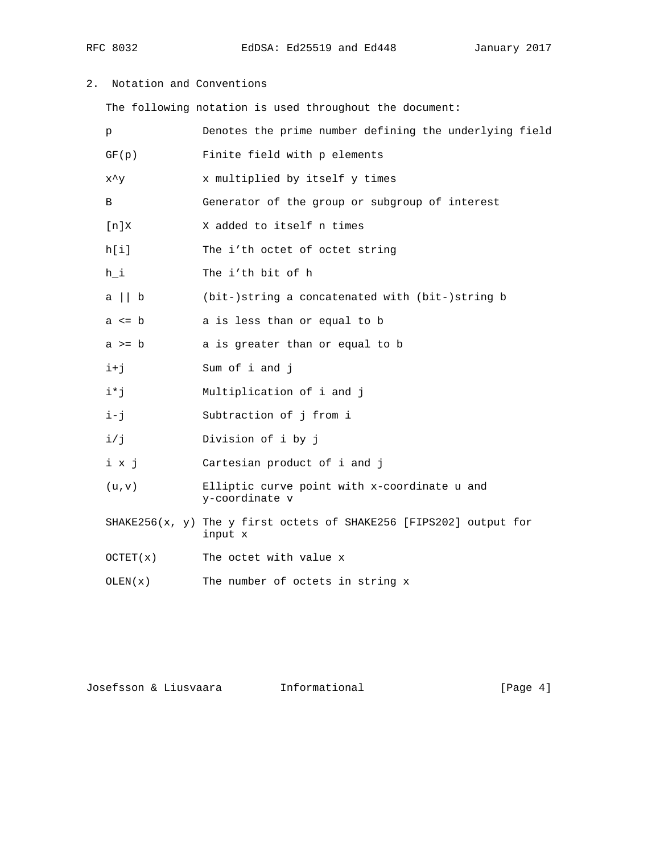RFC 8032 EdDSA: Ed25519 and Ed448 January 2017

2. Notation and Conventions

The following notation is used throughout the document:

| p              | Denotes the prime number defining the underlying field                        |
|----------------|-------------------------------------------------------------------------------|
| GF(p)          | Finite field with p elements                                                  |
| $x^{\lambda}y$ | x multiplied by itself y times                                                |
| B              | Generator of the group or subgroup of interest                                |
| [n]X           | X added to itself n times                                                     |
| h[i]           | The i'th octet of octet string                                                |
| $h_i$          | The i'th bit of h                                                             |
| $a \mid b$     | (bit-)string a concatenated with (bit-)string b                               |
| $a \leq b$     | a is less than or equal to b                                                  |
| $a \geq b$     | a is greater than or equal to b                                               |
| $i+j$          | Sum of i and j                                                                |
| i*j            | Multiplication of i and j                                                     |
| i-j            | Subtraction of j from i                                                       |
| i/j            | Division of i by j                                                            |
| i x j          | Cartesian product of i and j                                                  |
| (u,v)          | Elliptic curve point with x-coordinate u and<br>y-coordinate v                |
|                | SHAKE256(x, y) The y first octets of SHAKE256 [FIPS202] output for<br>input x |
| OCTET(X)       | The octet with value x                                                        |
| OLEN(x)        | The number of octets in string x                                              |

Josefsson & Liusvaara Informational [Page 4]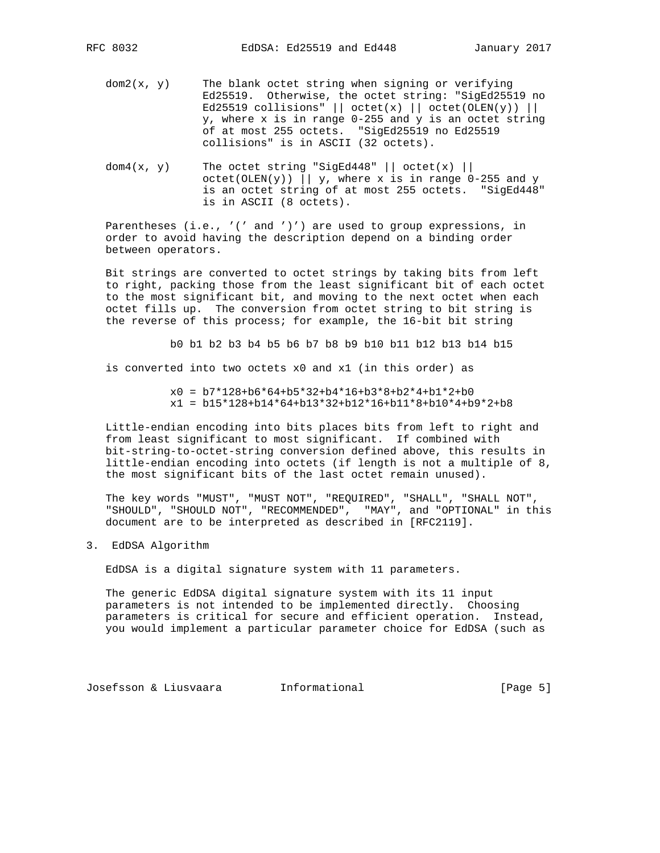- $dom2(x, y)$  The blank octet string when signing or verifying Ed25519. Otherwise, the octet string: "SigEd25519 no Ed25519 collisions" || octet(x) || octet(OLEN(y)) || y, where x is in range 0-255 and y is an octet string of at most 255 octets. "SigEd25519 no Ed25519 collisions" is in ASCII (32 octets).
- dom $4(x, y)$  The octet string "SigEd448" | | octet(x) | |  $octet(OLEN(y))$  || y, where x is in range 0-255 and y is an octet string of at most 255 octets. "SigEd448" is in ASCII (8 octets).

 Parentheses (i.e., '(' and ')') are used to group expressions, in order to avoid having the description depend on a binding order between operators.

 Bit strings are converted to octet strings by taking bits from left to right, packing those from the least significant bit of each octet to the most significant bit, and moving to the next octet when each octet fills up. The conversion from octet string to bit string is the reverse of this process; for example, the 16-bit bit string

b0 b1 b2 b3 b4 b5 b6 b7 b8 b9 b10 b11 b12 b13 b14 b15

is converted into two octets x0 and x1 (in this order) as

 $x0 = b7*128+b6*64+b5*32+b4*16+b3*8+b2*4+b1*2+b0$  $x1 = b15*128+b14*64+b13*32+b12*16+b11*8+b10*4+b9*2+b8$ 

 Little-endian encoding into bits places bits from left to right and from least significant to most significant. If combined with bit-string-to-octet-string conversion defined above, this results in little-endian encoding into octets (if length is not a multiple of 8, the most significant bits of the last octet remain unused).

 The key words "MUST", "MUST NOT", "REQUIRED", "SHALL", "SHALL NOT", "SHOULD", "SHOULD NOT", "RECOMMENDED", "MAY", and "OPTIONAL" in this document are to be interpreted as described in [RFC2119].

3. EdDSA Algorithm

EdDSA is a digital signature system with 11 parameters.

 The generic EdDSA digital signature system with its 11 input parameters is not intended to be implemented directly. Choosing parameters is critical for secure and efficient operation. Instead, you would implement a particular parameter choice for EdDSA (such as

Josefsson & Liusvaara Informational [Page 5]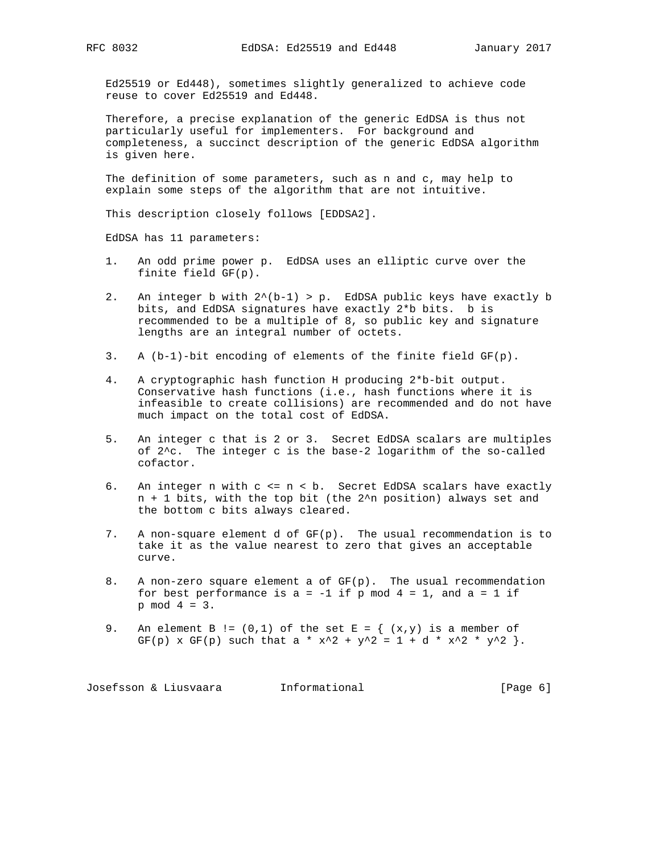Ed25519 or Ed448), sometimes slightly generalized to achieve code reuse to cover Ed25519 and Ed448.

 Therefore, a precise explanation of the generic EdDSA is thus not particularly useful for implementers. For background and completeness, a succinct description of the generic EdDSA algorithm is given here.

 The definition of some parameters, such as n and c, may help to explain some steps of the algorithm that are not intuitive.

This description closely follows [EDDSA2].

EdDSA has 11 parameters:

- 1. An odd prime power p. EdDSA uses an elliptic curve over the finite field GF(p).
- 2. An integer b with  $2^{(b-1)} > p$ . EdDSA public keys have exactly b bits, and EdDSA signatures have exactly 2\*b bits. b is recommended to be a multiple of 8, so public key and signature lengths are an integral number of octets.
- 3. A (b-1)-bit encoding of elements of the finite field GF(p).
- 4. A cryptographic hash function H producing 2\*b-bit output. Conservative hash functions (i.e., hash functions where it is infeasible to create collisions) are recommended and do not have much impact on the total cost of EdDSA.
- 5. An integer c that is 2 or 3. Secret EdDSA scalars are multiples of 2^c. The integer c is the base-2 logarithm of the so-called cofactor.
- 6. An integer n with c <= n < b. Secret EdDSA scalars have exactly n + 1 bits, with the top bit (the 2^n position) always set and the bottom c bits always cleared.
- 7. A non-square element d of  $GF(p)$ . The usual recommendation is to take it as the value nearest to zero that gives an acceptable curve.
- 8. A non-zero square element a of GF(p). The usual recommendation for best performance is  $a = -1$  if p mod  $4 = 1$ , and  $a = 1$  if p mod 4 = 3.
- 9. An element B !=  $(0,1)$  of the set E =  $\{ (x,y) \text{ is a member of }$ GF(p) x GF(p) such that a \* x^2 + y^2 = 1 + d \* x^2 \* y^2 }.

Josefsson & Liusvaara and Informational and Informational [Page 6]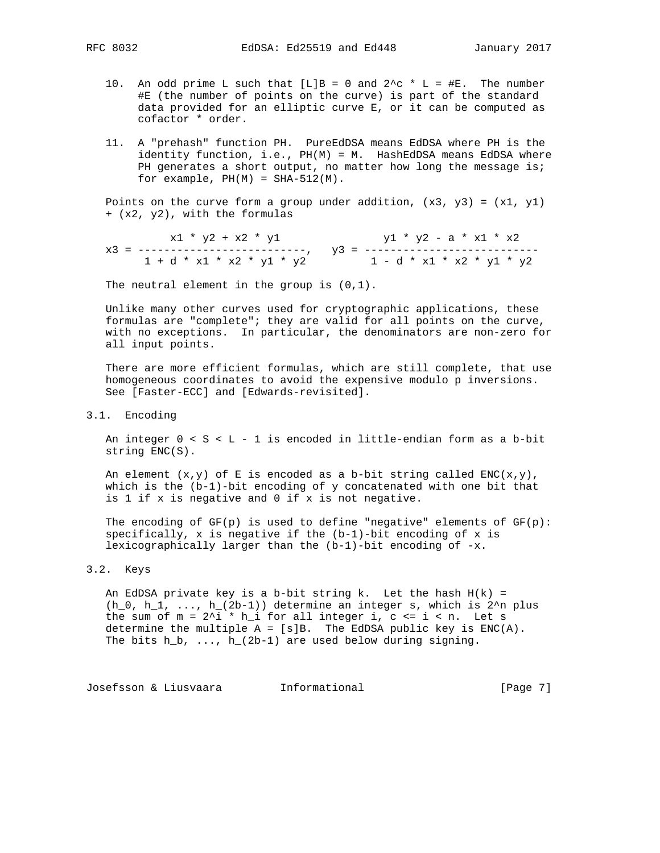- 10. An odd prime L such that  $[L]B = 0$  and  $2^c \sim L = \#E$ . The number #E (the number of points on the curve) is part of the standard data provided for an elliptic curve E, or it can be computed as cofactor \* order.
- 11. A "prehash" function PH. PureEdDSA means EdDSA where PH is the identity function, i.e., PH(M) = M. HashEdDSA means EdDSA where PH generates a short output, no matter how long the message is; for example,  $PH(M) = SHA-512(M)$ .

Points on the curve form a group under addition,  $(x3, y3) = (x1, y1)$ + (x2, y2), with the formulas

 $x1 * y2 + x2 * y1$   $y1 * y2 - a * x1 * x2$  x3 = --------------------------, y3 = --------------------------- 1 + d \* x1 \* x2 \* y1 \* y2 1 - d \* x1 \* x2 \* y1 \* y2

The neutral element in the group is  $(0,1)$ .

 Unlike many other curves used for cryptographic applications, these formulas are "complete"; they are valid for all points on the curve, with no exceptions. In particular, the denominators are non-zero for all input points.

 There are more efficient formulas, which are still complete, that use homogeneous coordinates to avoid the expensive modulo p inversions. See [Faster-ECC] and [Edwards-revisited].

3.1. Encoding

 An integer 0 < S < L - 1 is encoded in little-endian form as a b-bit string ENC(S).

An element  $(x,y)$  of E is encoded as a b-bit string called ENC( $x,y$ ), which is the (b-1)-bit encoding of y concatenated with one bit that is 1 if x is negative and 0 if x is not negative.

The encoding of  $GF(p)$  is used to define "negative" elements of  $GF(p)$ : specifically,  $x$  is negative if the  $(b-1)$ -bit encoding of  $x$  is lexicographically larger than the (b-1)-bit encoding of -x.

# 3.2. Keys

An EdDSA private key is a b-bit string k. Let the hash  $H(k) =$  $(h_0, h_1, \ldots, h_2(2b-1))$  determine an integer s, which is  $2^n$ n plus the sum of  $m = 2$ <sup>i</sup> \* h\_i for all integer i, c <= i < n. Let s determine the multiple  $A = [s]B$ . The EdDSA public key is  $ENC(A)$ . The bits  $h_b$ , ...,  $h_2(2b-1)$  are used below during signing.

Josefsson & Liusvaara and Informational and Informational [Page 7]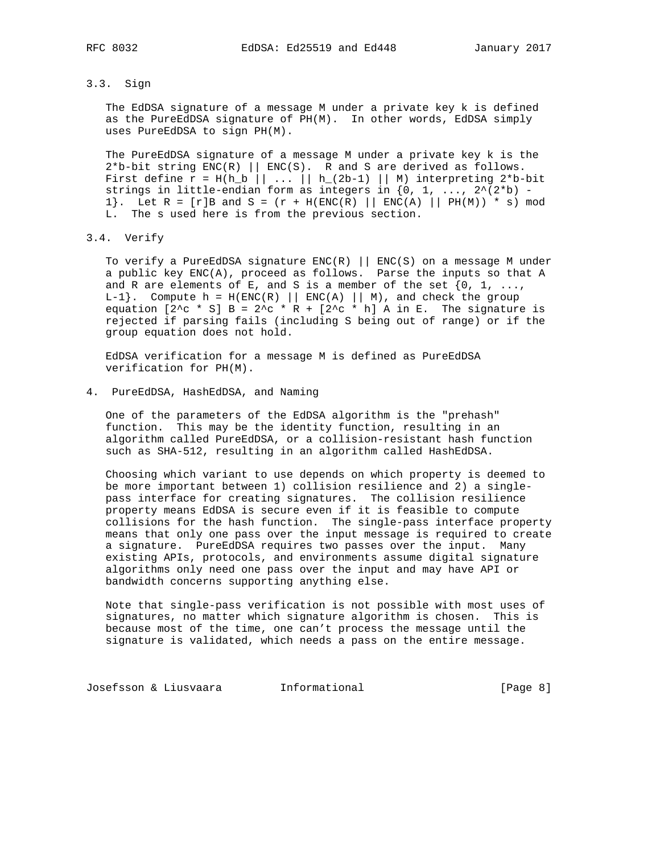3.3. Sign

 The EdDSA signature of a message M under a private key k is defined as the PureEdDSA signature of PH(M). In other words, EdDSA simply uses PureEdDSA to sign PH(M).

 The PureEdDSA signature of a message M under a private key k is the  $2*b-bit$  string  $ENC(R)$  ||  $ENC(S)$ . R and S are derived as follows. First define  $r = H(h_b | ... | h_2(2b-1) | M)$  interpreting 2\*b-bit strings in little-endian form as integers in  $\{0, 1, \ldots, 2^{\lambda}(2^k b) -$ 1}. Let  $R = [r]B$  and  $S = (r + H(ENC(R) || ENC(A) || PH(M)) * s)$  mod L. The s used here is from the previous section.

3.4. Verify

 To verify a PureEdDSA signature ENC(R) || ENC(S) on a message M under a public key ENC(A), proceed as follows. Parse the inputs so that A and R are elements of E, and S is a member of the set  $\{0, 1, \ldots\}$  $L-1$ . Compute  $h = H(ENC(R) || ENC(A) || M)$ , and check the group equation  $[2^c c * S] B = 2^c c * R + [2^c c * h] A in E.$  The signature is rejected if parsing fails (including S being out of range) or if the group equation does not hold.

 EdDSA verification for a message M is defined as PureEdDSA verification for PH(M).

4. PureEdDSA, HashEdDSA, and Naming

 One of the parameters of the EdDSA algorithm is the "prehash" function. This may be the identity function, resulting in an algorithm called PureEdDSA, or a collision-resistant hash function such as SHA-512, resulting in an algorithm called HashEdDSA.

 Choosing which variant to use depends on which property is deemed to be more important between 1) collision resilience and 2) a single pass interface for creating signatures. The collision resilience property means EdDSA is secure even if it is feasible to compute collisions for the hash function. The single-pass interface property means that only one pass over the input message is required to create a signature. PureEdDSA requires two passes over the input. Many existing APIs, protocols, and environments assume digital signature algorithms only need one pass over the input and may have API or bandwidth concerns supporting anything else.

 Note that single-pass verification is not possible with most uses of signatures, no matter which signature algorithm is chosen. This is because most of the time, one can't process the message until the signature is validated, which needs a pass on the entire message.

Josefsson & Liusvaara and Informational and Informational [Page 8]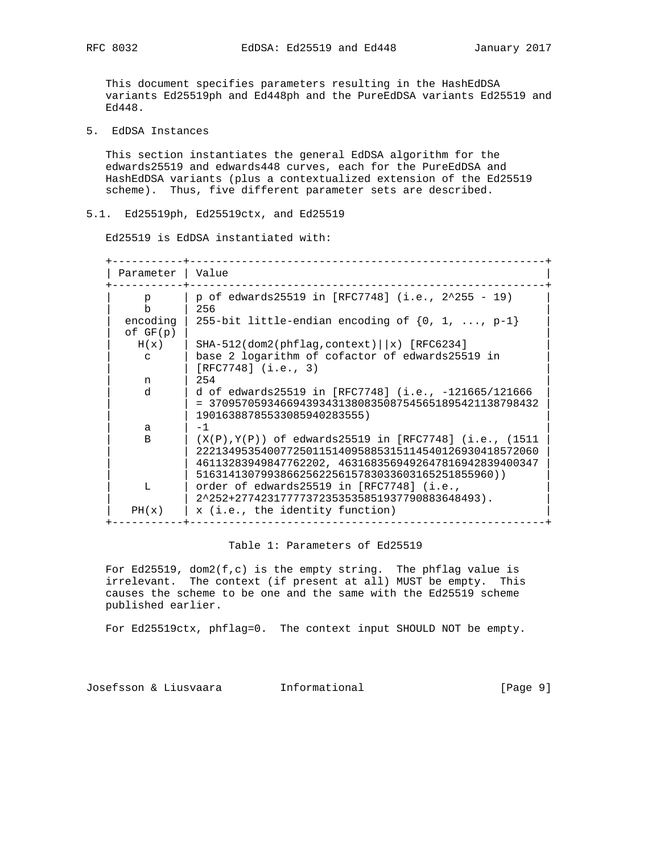This document specifies parameters resulting in the HashEdDSA variants Ed25519ph and Ed448ph and the PureEdDSA variants Ed25519 and Ed448.

5. EdDSA Instances

 This section instantiates the general EdDSA algorithm for the edwards25519 and edwards448 curves, each for the PureEdDSA and HashEdDSA variants (plus a contextualized extension of the Ed25519 scheme). Thus, five different parameter sets are described.

# 5.1. Ed25519ph, Ed25519ctx, and Ed25519

Ed25519 is EdDSA instantiated with:

| Parameter    | Value                                                                                                              |
|--------------|--------------------------------------------------------------------------------------------------------------------|
| $p_{\rm c}$  | p of edwards25519 in [RFC7748] (i.e., 2^255 - 19)                                                                  |
| $\mathbf b$  | 256                                                                                                                |
| encoding     | 255-bit little-endian encoding of $\{0, 1, , p-1\}$                                                                |
| of GF(p)     |                                                                                                                    |
| H(x)         | $SHA-512$ (dom2 (phflag, context) $\vert x \rangle$ [RFC6234]                                                      |
| $\mathbf{C}$ | base 2 logarithm of cofactor of edwards25519 in<br>$[RFC7748]$ $(i.e., 3)$                                         |
| n            | 254                                                                                                                |
| d.           | d of edwards25519 in [RFC7748] (i.e., -121665/121666                                                               |
|              | $= 370957059346694393431380835087545651895421138798432$<br>19016388785533085940283555)                             |
| $\mathsf{a}$ | $-1$                                                                                                               |
| <sub>B</sub> | $(X(P), Y(P))$ of edwards25519 in [RFC7748] (i.e., (1511)<br>22213495354007725011514095885315114540126930418572060 |
|              | 46113283949847762202, 4631683569492647816942839400347                                                              |
|              | 5163141307993866256225615783033603165251855960))                                                                   |
| т.           | order of edwards25519 in [RFC7748] (i.e.,                                                                          |
|              | 2^252+27742317777372353535851937790883648493).                                                                     |
| PH(x)        | x (i.e., the identity function)                                                                                    |

## Table 1: Parameters of Ed25519

For Ed25519,  $dom2(f, c)$  is the empty string. The phflag value is irrelevant. The context (if present at all) MUST be empty. This causes the scheme to be one and the same with the Ed25519 scheme published earlier.

For Ed25519ctx, phflag=0. The context input SHOULD NOT be empty.

Josefsson & Liusvaara Informational [Page 9]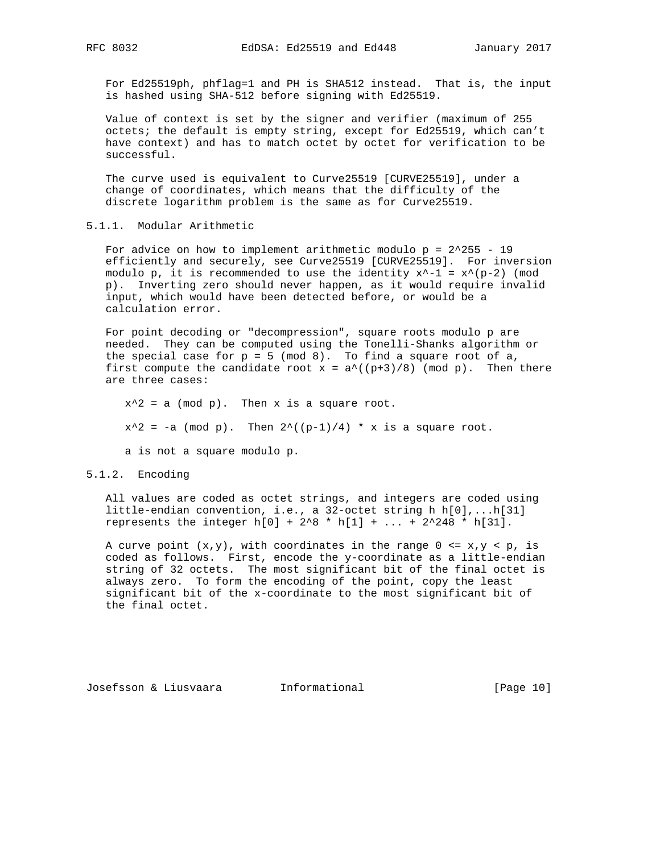For Ed25519ph, phflag=1 and PH is SHA512 instead. That is, the input is hashed using SHA-512 before signing with Ed25519.

 Value of context is set by the signer and verifier (maximum of 255 octets; the default is empty string, except for Ed25519, which can't have context) and has to match octet by octet for verification to be successful.

 The curve used is equivalent to Curve25519 [CURVE25519], under a change of coordinates, which means that the difficulty of the discrete logarithm problem is the same as for Curve25519.

5.1.1. Modular Arithmetic

For advice on how to implement arithmetic modulo  $p = 2^2255 - 19$  efficiently and securely, see Curve25519 [CURVE25519]. For inversion modulo p, it is recommended to use the identity  $x^2-1 = x^*(p-2)$  (mod p). Inverting zero should never happen, as it would require invalid input, which would have been detected before, or would be a calculation error.

 For point decoding or "decompression", square roots modulo p are needed. They can be computed using the Tonelli-Shanks algorithm or the special case for  $p = 5 \pmod{8}$ . To find a square root of a, first compute the candidate root  $x = a^{\wedge}((p+3)/8)$  (mod p). Then there are three cases:

 $x^2$  = a (mod p). Then x is a square root.  $x^2 = -a \pmod{p}$ . Then  $2^((p-1)/4) * x$  is a square root.

a is not a square modulo p.

## 5.1.2. Encoding

 All values are coded as octet strings, and integers are coded using little-endian convention, i.e., a 32-octet string h h[0],...h[31] represents the integer  $h[0] + 2^8 * h[1] + ... + 2^248 * h[31].$ 

A curve point  $(x,y)$ , with coordinates in the range  $0 \le x, y \le p$ , is coded as follows. First, encode the y-coordinate as a little-endian string of 32 octets. The most significant bit of the final octet is always zero. To form the encoding of the point, copy the least significant bit of the x-coordinate to the most significant bit of the final octet.

Josefsson & Liusvaara and Informational and Informational [Page 10]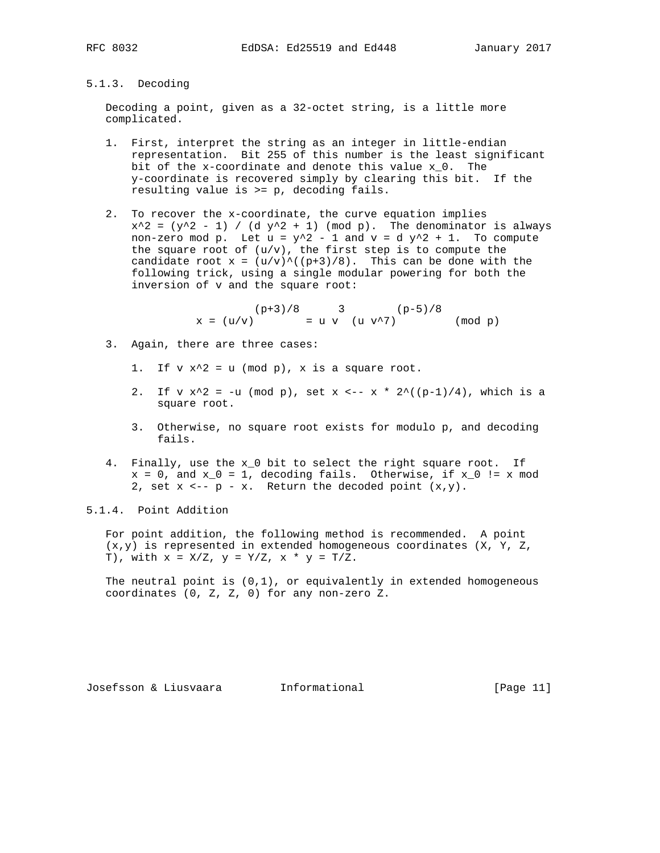# 5.1.3. Decoding

 Decoding a point, given as a 32-octet string, is a little more complicated.

- 1. First, interpret the string as an integer in little-endian representation. Bit 255 of this number is the least significant bit of the x-coordinate and denote this value x\_0. The y-coordinate is recovered simply by clearing this bit. If the resulting value is >= p, decoding fails.
- 2. To recover the x-coordinate, the curve equation implies  $x^2 = (y^2 - 1)$  / (d  $y^2 + 1$ ) (mod p). The denominator is always non-zero mod p. Let  $u = y^2 - 1$  and  $v = d y^2 + 1$ . To compute the square root of  $(u/v)$ , the first step is to compute the candidate root  $x = (u/v)^{\wedge}((p+3)/8)$ . This can be done with the following trick, using a single modular powering for both the inversion of v and the square root:

 $(p+3)/8$  3 (p-5)/8  $x = (u/v)$  = u v  $(u v^2)$  (mod p)

- 3. Again, there are three cases:
	- 1. If  $v x^2 = u \pmod{p}$ , x is a square root.
	- 2. If v  $x^2 = -u \pmod{p}$ , set  $x \le -x * 2^((p-1)/4)$ , which is a square root.
	- 3. Otherwise, no square root exists for modulo p, and decoding fails.
- 4. Finally, use the x\_0 bit to select the right square root. If  $x = 0$ , and  $x_0 = 1$ , decoding fails. Otherwise, if  $x_0$  != x mod 2, set  $x \leftarrow -p - x$ . Return the decoded point  $(x,y)$ .

5.1.4. Point Addition

 For point addition, the following method is recommended. A point  $(x,y)$  is represented in extended homogeneous coordinates  $(X, Y, Z)$ T), with  $x = X/Z$ ,  $y = Y/Z$ ,  $x * y = T/Z$ .

The neutral point is  $(0,1)$ , or equivalently in extended homogeneous coordinates (0, Z, Z, 0) for any non-zero Z.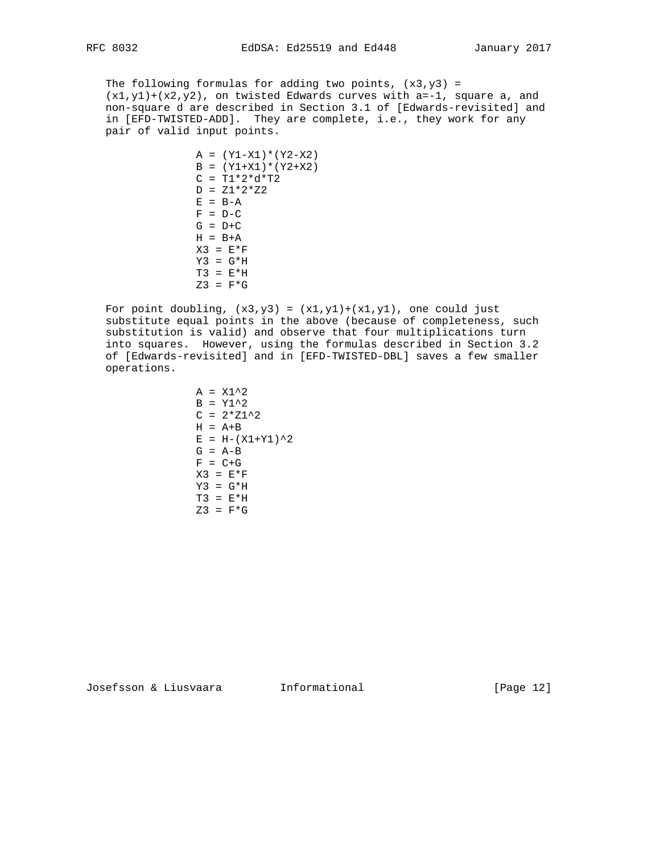The following formulas for adding two points,  $(x3,y3)$  =  $(x1,y1)+(x2,y2)$ , on twisted Edwards curves with  $a=-1$ , square a, and non-square d are described in Section 3.1 of [Edwards-revisited] and in [EFD-TWISTED-ADD]. They are complete, i.e., they work for any pair of valid input points.

> $A = (Y1-X1)*(Y2-X2)$  $B = (Y1+X1)*(Y2+X2)$  $C = T1 * 2 * d * T2$  $D = Z1 * 2 * Z2$  $E = B - A$  $F = D - C$  $G = D + C$  $H = B+A$  $X3 = E*F$  $Y3 = G*H$  $T3 = E*H$  $Z3 = F*G$

For point doubling,  $(x3,y3) = (x1,y1)+(x1,y1)$ , one could just substitute equal points in the above (because of completeness, such substitution is valid) and observe that four multiplications turn into squares. However, using the formulas described in Section 3.2 of [Edwards-revisited] and in [EFD-TWISTED-DBL] saves a few smaller operations.

> $A = X1^2$  $B = Y1^2$  $C = 2 \times 21^2$  $H = A+B$  $E = H - (X1+Y1)^2$  $G = A-B$  $F = C + G$  $X3 = E*F$  $Y3 = G*H$  $T3 = E*H$  $Z3 = F*G$

Josefsson & Liusvaara Informational [Page 12]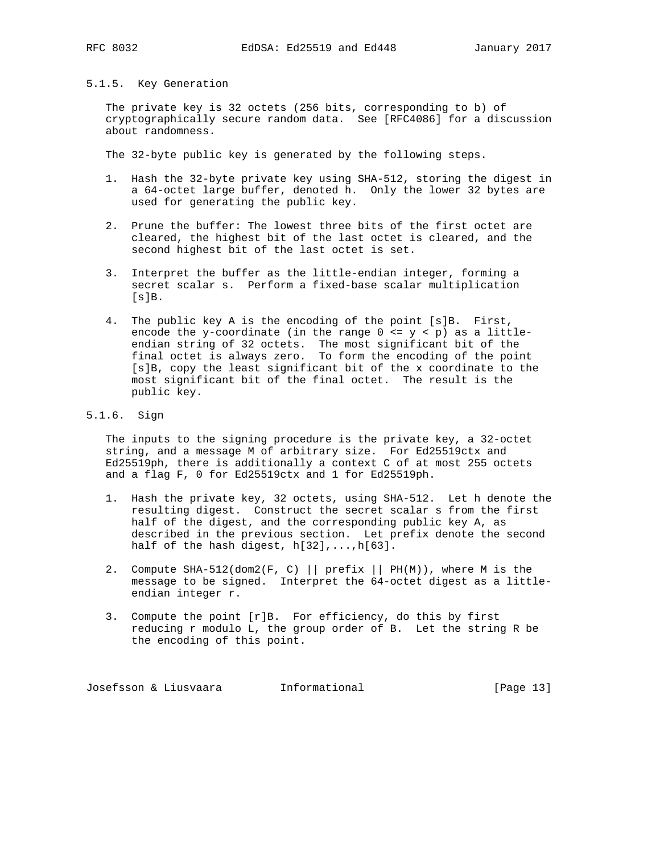### 5.1.5. Key Generation

 The private key is 32 octets (256 bits, corresponding to b) of cryptographically secure random data. See [RFC4086] for a discussion about randomness.

The 32-byte public key is generated by the following steps.

- 1. Hash the 32-byte private key using SHA-512, storing the digest in a 64-octet large buffer, denoted h. Only the lower 32 bytes are used for generating the public key.
- 2. Prune the buffer: The lowest three bits of the first octet are cleared, the highest bit of the last octet is cleared, and the second highest bit of the last octet is set.
- 3. Interpret the buffer as the little-endian integer, forming a secret scalar s. Perform a fixed-base scalar multiplication  $[s]B.$
- 4. The public key A is the encoding of the point [s]B. First, encode the y-coordinate (in the range  $0 \le y \le p$ ) as a little endian string of 32 octets. The most significant bit of the final octet is always zero. To form the encoding of the point [s]B, copy the least significant bit of the x coordinate to the most significant bit of the final octet. The result is the public key.
- 5.1.6. Sign

 The inputs to the signing procedure is the private key, a 32-octet string, and a message M of arbitrary size. For Ed25519ctx and Ed25519ph, there is additionally a context C of at most 255 octets and a flag F, 0 for Ed25519ctx and 1 for Ed25519ph.

- 1. Hash the private key, 32 octets, using SHA-512. Let h denote the resulting digest. Construct the secret scalar s from the first half of the digest, and the corresponding public key A, as described in the previous section. Let prefix denote the second half of the hash digest, h[32],...,h[63].
- 2. Compute SHA-512(dom2(F, C) || prefix || PH(M)), where M is the message to be signed. Interpret the 64-octet digest as a little endian integer r.
- 3. Compute the point [r]B. For efficiency, do this by first reducing r modulo L, the group order of B. Let the string R be the encoding of this point.

Josefsson & Liusvaara and Informational and Informational [Page 13]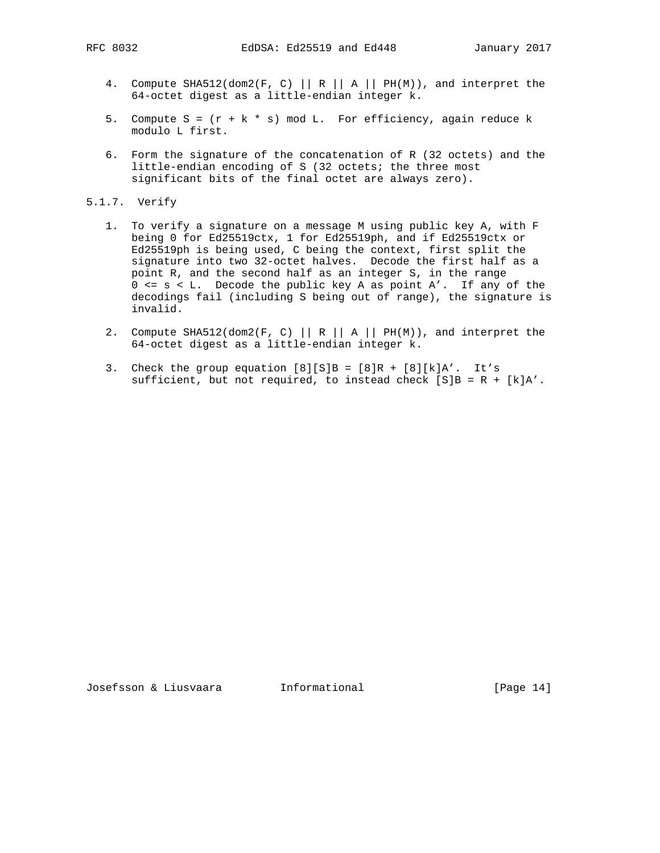- 4. Compute SHA512(dom2(F, C) || R || A || PH(M)), and interpret the 64-octet digest as a little-endian integer k.
- 5. Compute  $S = (r + k * s) \mod L$ . For efficiency, again reduce k modulo L first.
- 6. Form the signature of the concatenation of R (32 octets) and the little-endian encoding of S (32 octets; the three most significant bits of the final octet are always zero).
- 5.1.7. Verify
	- 1. To verify a signature on a message M using public key A, with F being 0 for Ed25519ctx, 1 for Ed25519ph, and if Ed25519ctx or Ed25519ph is being used, C being the context, first split the signature into two 32-octet halves. Decode the first half as a point R, and the second half as an integer S, in the range 0 <= s < L. Decode the public key A as point A'. If any of the decodings fail (including S being out of range), the signature is invalid.
	- 2. Compute SHA512(dom2(F, C) || R || A || PH(M)), and interpret the 64-octet digest as a little-endian integer k.
	- 3. Check the group equation  $[8][S]B = [8]R + [8][k]A'$ . It's sufficient, but not required, to instead check  $[S]B = R + [k]A'$ .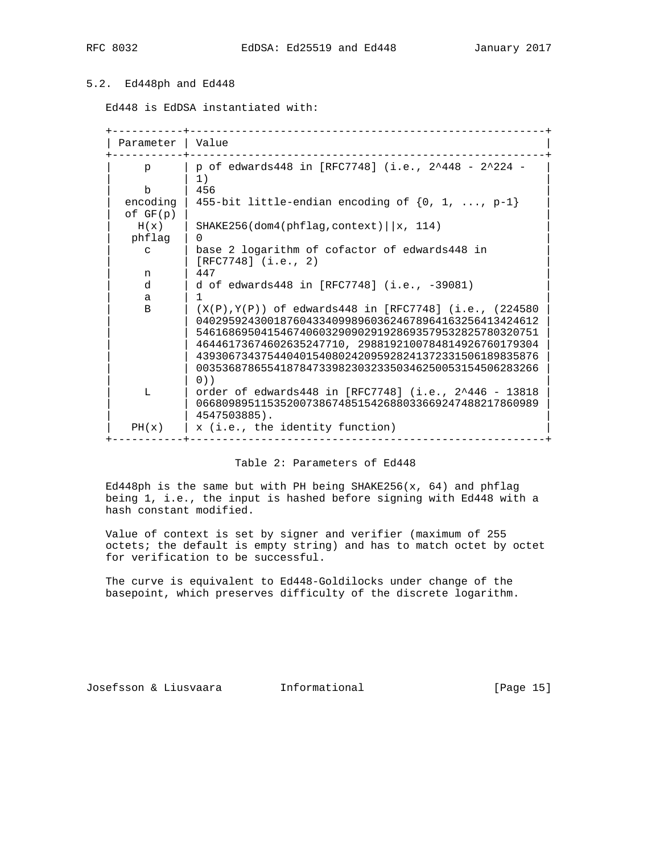# 5.2. Ed448ph and Ed448

Ed448 is EdDSA instantiated with:

 +-----------+-------------------------------------------------------+ | Parameter | Value +-----------+-------------------------------------------------------+ | p of edwards448 in [RFC7748] (i.e.,  $2^{\wedge}448 - 2^{\wedge}224 -$  | | 1) |  $\vert$  b | 456  $\vert$ encoding | 455-bit little-endian encoding of  $\{0, 1, \ldots, p-1\}$  $of GF(p)$  $H(x)$  | SHAKE256(dom4(phflag,context)||x, 114) | phflag | 0 | | c | base 2 logarithm of cofactor of edwards448 in | c | base 2 logarithm of<br>| [RFC7748] (i.e., 2)<br>| 1447  $\begin{array}{c} \texttt{n} \\ \texttt{d} \end{array}$ | d of edwards448 in [RFC7748] (i.e., -39081) | a | 1 | B | (X(P), Y(P)) of edwards448 in [RFC7748] (i.e., (224580 | | 04029592430018760433409989603624678964163256413424612 | | | 54616869504154674060329090291928693579532825780320751 | | | 46446173674602635247710, 2988192100784814926760179304 | | | 43930673437544040154080242095928241372331506189835876 | | | 00353687865541878473398230323350346250053154506283266 |  $|$  0))  $|$  | L | order of edwards448 in [RFC7748] (i.e., 2^446 - 13818 | | | 06680989511535200738674851542688033669247488217860989 |  $| 4547503885$ .  $PH(x)$  | x (i.e., the identity function) +-----------+-------------------------------------------------------+

## Table 2: Parameters of Ed448

Ed448ph is the same but with PH being SHAKE256( $x$ , 64) and phflag being 1, i.e., the input is hashed before signing with Ed448 with a hash constant modified.

 Value of context is set by signer and verifier (maximum of 255 octets; the default is empty string) and has to match octet by octet for verification to be successful.

 The curve is equivalent to Ed448-Goldilocks under change of the basepoint, which preserves difficulty of the discrete logarithm.

Josefsson & Liusvaara and Informational and Informational [Page 15]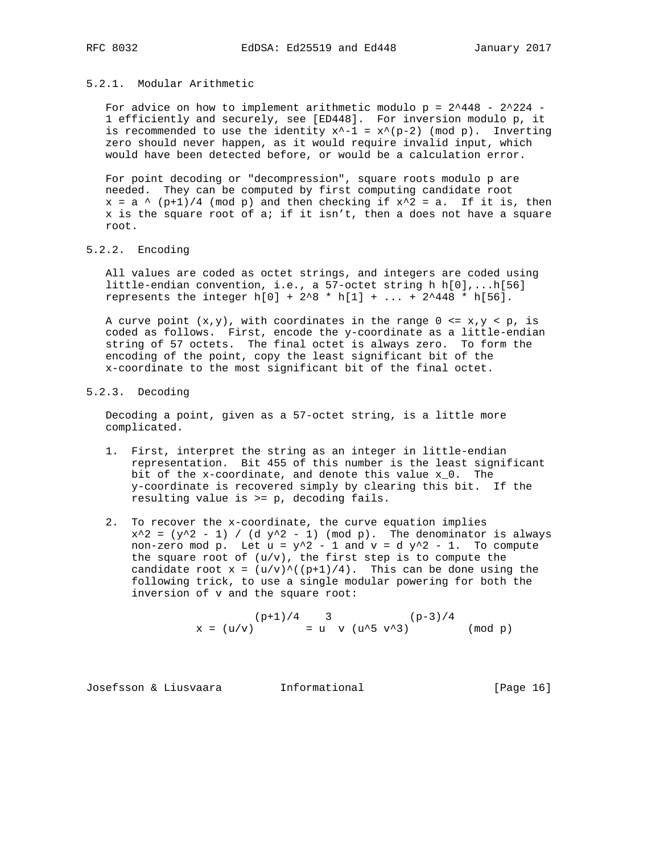## 5.2.1. Modular Arithmetic

For advice on how to implement arithmetic modulo  $p = 2^448 - 2^224 - 1$  1 efficiently and securely, see [ED448]. For inversion modulo p, it is recommended to use the identity  $x^2-1 = x^*(p-2)$  (mod p). Inverting zero should never happen, as it would require invalid input, which would have been detected before, or would be a calculation error.

 For point decoding or "decompression", square roots modulo p are needed. They can be computed by first computing candidate root  $x = a \land (p+1)/4$  (mod p) and then checking if  $x^2 = a$ . If it is, then  $x$  is the square root of a; if it isn't, then a does not have a square root.

## 5.2.2. Encoding

 All values are coded as octet strings, and integers are coded using little-endian convention, i.e., a 57-octet string h h[0],...h[56] represents the integer  $h[0] + 2^8 * h[1] + ... + 2^448 * h[56].$ 

A curve point  $(x,y)$ , with coordinates in the range  $0 \le x,y \le p$ , is coded as follows. First, encode the y-coordinate as a little-endian string of 57 octets. The final octet is always zero. To form the encoding of the point, copy the least significant bit of the x-coordinate to the most significant bit of the final octet.

# 5.2.3. Decoding

 Decoding a point, given as a 57-octet string, is a little more complicated.

- 1. First, interpret the string as an integer in little-endian representation. Bit 455 of this number is the least significant bit of the x-coordinate, and denote this value x\_0. The y-coordinate is recovered simply by clearing this bit. If the resulting value is >= p, decoding fails.
- 2. To recover the x-coordinate, the curve equation implies  $x^2 = (y^2 - 1)$  / (d  $y^2 - 1$ ) (mod p). The denominator is always non-zero mod p. Let  $u = y^2 - 1$  and  $v = d y^2 - 1$ . To compute the square root of  $(u/v)$ , the first step is to compute the candidate root  $x = (u/v)^{(p+1)}/4$ . This can be done using the following trick, to use a single modular powering for both the inversion of v and the square root:

 $(p+1)/4$  3 (p-3)/4  $x = (u/v)$  = u v  $(u^5 v^3)$  (mod p)

Josefsson & Liusvaara and Informational and Informational [Page 16]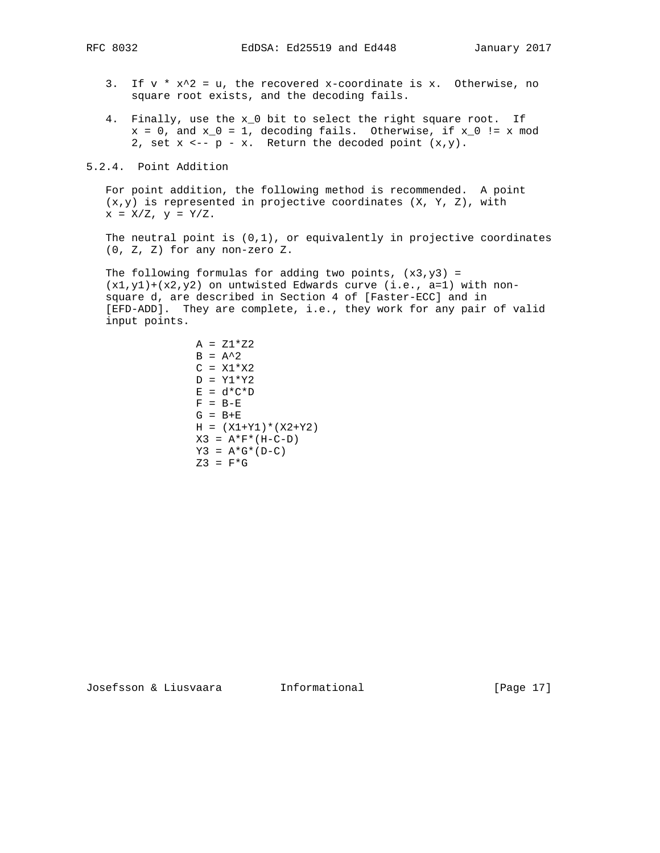- 3. If  $v * x^2 = u$ , the recovered x-coordinate is x. Otherwise, no square root exists, and the decoding fails.
- 4. Finally, use the x\_0 bit to select the right square root. If  $x = 0$ , and  $x_0 = 1$ , decoding fails. Otherwise, if  $x_0 := x$  mod 2, set  $x \leftarrow -p - x$ . Return the decoded point  $(x,y)$ .

5.2.4. Point Addition

 For point addition, the following method is recommended. A point (x,y) is represented in projective coordinates (X, Y, Z), with  $x = X/Z$ ,  $y = Y/Z$ .

The neutral point is  $(0,1)$ , or equivalently in projective coordinates (0, Z, Z) for any non-zero Z.

The following formulas for adding two points,  $(x3,y3) =$  $(x1,y1)+(x2,y2)$  on untwisted Edwards curve (i.e., a=1) with non square d, are described in Section 4 of [Faster-ECC] and in [EFD-ADD]. They are complete, i.e., they work for any pair of valid input points.

```
A = Z1 * Z2B = A^2C = X1 * X2D = Y1*Y2E = d * C * DF = B - EG = B + EH = (X1+Y1)*(X2+Y2)X3 = A*F*(H-C-D)Y3 = A * G * (D - C)Z3 = F*G
```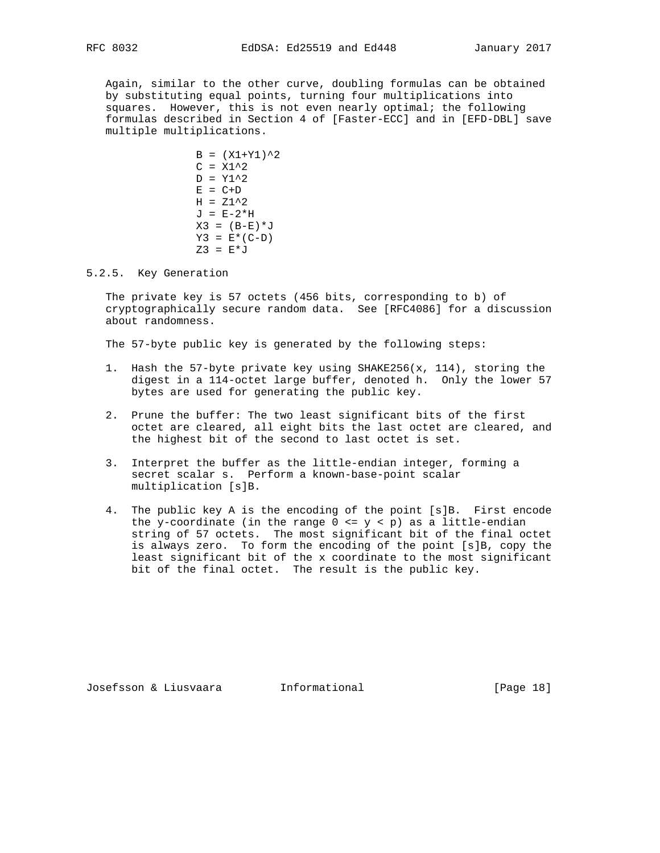Again, similar to the other curve, doubling formulas can be obtained by substituting equal points, turning four multiplications into squares. However, this is not even nearly optimal; the following formulas described in Section 4 of [Faster-ECC] and in [EFD-DBL] save multiple multiplications.

> $B = (X1+Y1)^{2}$  $C = X1^2$  $D = Y1^2$  $E = C+D$  $H = Z1^2$  $J = E-2*H$  $X3 = (B-E)*J$  $Y3 = E*(C-D)$  $Z3 = E * J$

5.2.5. Key Generation

 The private key is 57 octets (456 bits, corresponding to b) of cryptographically secure random data. See [RFC4086] for a discussion about randomness.

The 57-byte public key is generated by the following steps:

- 1. Hash the 57-byte private key using SHAKE256(x, 114), storing the digest in a 114-octet large buffer, denoted h. Only the lower 57 bytes are used for generating the public key.
- 2. Prune the buffer: The two least significant bits of the first octet are cleared, all eight bits the last octet are cleared, and the highest bit of the second to last octet is set.
- 3. Interpret the buffer as the little-endian integer, forming a secret scalar s. Perform a known-base-point scalar multiplication [s]B.
- 4. The public key A is the encoding of the point [s]B. First encode the y-coordinate (in the range  $0 \le y \le p$ ) as a little-endian string of 57 octets. The most significant bit of the final octet is always zero. To form the encoding of the point [s]B, copy the least significant bit of the x coordinate to the most significant bit of the final octet. The result is the public key.

Josefsson & Liusvaara Informational [Page 18]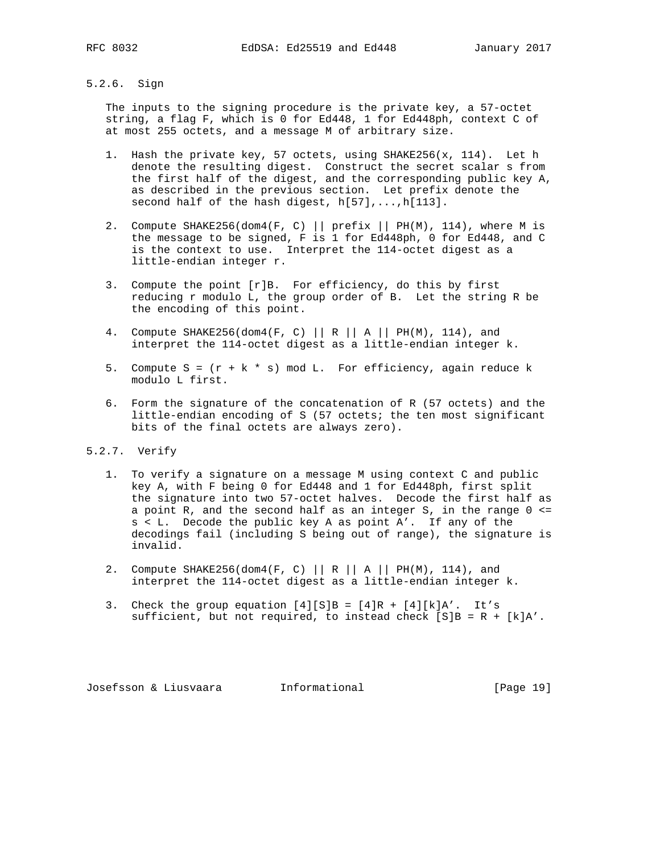# 5.2.6. Sign

 The inputs to the signing procedure is the private key, a 57-octet string, a flag F, which is 0 for Ed448, 1 for Ed448ph, context C of at most 255 octets, and a message M of arbitrary size.

- 1. Hash the private key, 57 octets, using SHAKE256(x, 114). Let h denote the resulting digest. Construct the secret scalar s from the first half of the digest, and the corresponding public key A, as described in the previous section. Let prefix denote the second half of the hash digest, h[57],...,h[113].
- 2. Compute SHAKE256(dom4(F, C) || prefix || PH(M), 114), where M is the message to be signed, F is 1 for Ed448ph, 0 for Ed448, and C is the context to use. Interpret the 114-octet digest as a little-endian integer r.
- 3. Compute the point [r]B. For efficiency, do this by first reducing r modulo L, the group order of B. Let the string R be the encoding of this point.
- 4. Compute SHAKE256(dom4(F, C) || R || A || PH(M), 114), and interpret the 114-octet digest as a little-endian integer k.
- 5. Compute  $S = (r + k * s) \mod L$ . For efficiency, again reduce k modulo L first.
- 6. Form the signature of the concatenation of R (57 octets) and the little-endian encoding of S (57 octets; the ten most significant bits of the final octets are always zero).
- 5.2.7. Verify
	- 1. To verify a signature on a message M using context C and public key A, with F being 0 for Ed448 and 1 for Ed448ph, first split the signature into two 57-octet halves. Decode the first half as a point R, and the second half as an integer S, in the range 0 <= s < L. Decode the public key A as point A'. If any of the decodings fail (including S being out of range), the signature is invalid.
	- 2. Compute SHAKE256(dom4(F, C) || R || A || PH(M), 114), and interpret the 114-octet digest as a little-endian integer k.
	- 3. Check the group equation  $[4][S]B = [4]R + [4][k]A'$ . It's sufficient, but not required, to instead check  $[S]B = R + [k]A'$ .

Josefsson & Liusvaara Informational [Page 19]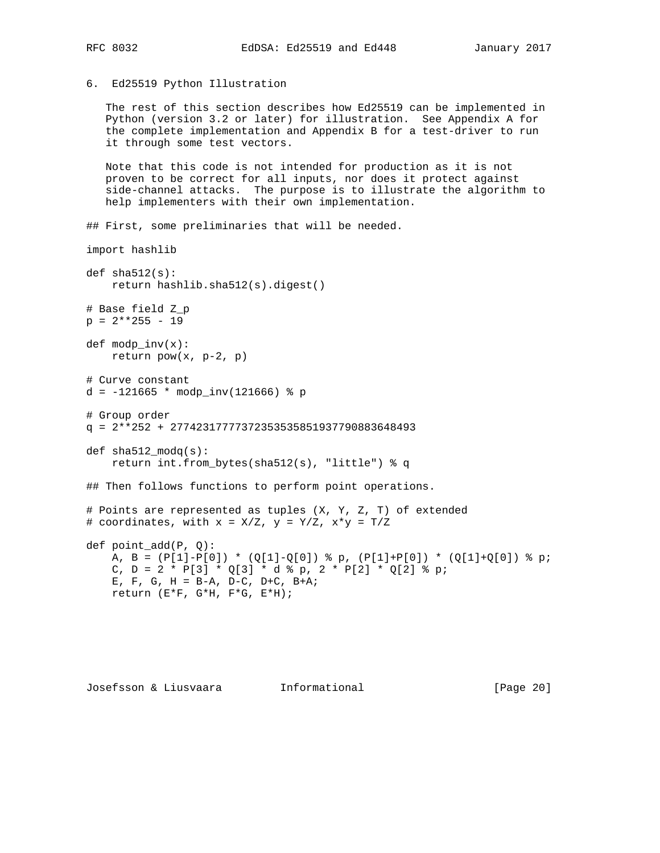# 6. Ed25519 Python Illustration

 The rest of this section describes how Ed25519 can be implemented in Python (version 3.2 or later) for illustration. See Appendix A for the complete implementation and Appendix B for a test-driver to run it through some test vectors.

 Note that this code is not intended for production as it is not proven to be correct for all inputs, nor does it protect against side-channel attacks. The purpose is to illustrate the algorithm to help implementers with their own implementation.

## First, some preliminaries that will be needed.

```
import hashlib
```

```
def sha512(s):
   return hashlib.sha512(s).digest()
# Base field Z_p
p = 2**255 - 19def modp\_inv(x):
   return pow(x, p-2, p)# Curve constant
d = -121665 * modp\_inv(121666) * p# Group order
q = 2**252 + 27742317777372353535851937790883648493
def sha512_modq(s):
     return int.from_bytes(sha512(s), "little") % q
## Then follows functions to perform point operations.
# Points are represented as tuples (X, Y, Z, T) of extended
# coordinates, with x = X/Z, y = Y/Z, x*y = T/Zdef point_add(P, Q):
   A, B = (P[1]-P[0]) * (Q[1]-Q[0]) % p, (P[1]+P[0]) * (Q[1]+Q[0]) % p;
   C, D = 2 * P[3] * Q[3] * d * p, 2 * P[2] * Q[2] * p;
    E, F, G, H = B-A, D-C, D+C, B+A;
    return (E*F, G*H, F*G, E*H);
```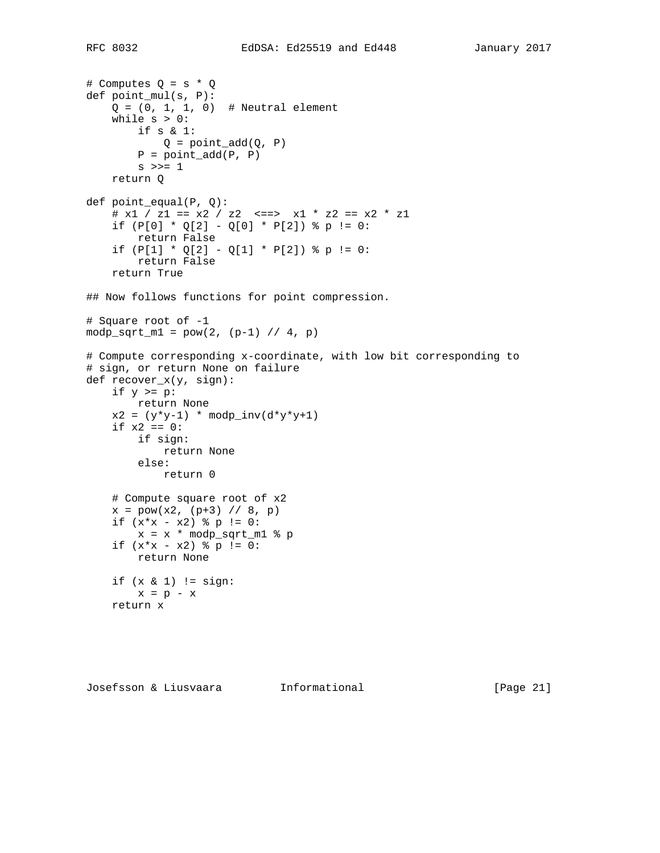```
# Computes Q = s * Q
def point_mul(s, P):
    Q = (0, 1, 1, 0) # Neutral element
    while s > 0:
         if s & 1:
          Q = point\_add(Q, P)P = point\_add(P, P)s \gg= 1 return Q
def point_equal(P, Q):
    # x1 / z1 == x2 / z2 <== > x1 * z2 == x2 * z1if (P[0] * Q[2] - Q[0] * P[2]) * p := 0:
         return False
    if (P[1] * Q[2] - Q[1] * P[2]) * p := 0:
        return False
     return True
## Now follows functions for point compression.
# Square root of -1
modp\_sqrt\_m1 = pow(2, (p-1) // 4, p)# Compute corresponding x-coordinate, with low bit corresponding to
# sign, or return None on failure
def recover_x(y, sign):
    if y \ge p:
         return None
    x2 = (y*y-1) * modp\_inv(d*y*y+1)if x2 == 0:
        if sign:
            return None
         else:
            return 0
     # Compute square root of x2
    x = pow(x2, (p+3) // 8, p)if (x*x - x2) p := 0:
       x = x * \text{modp\_sqrt\_m1 } % p
    if (x*x - x2) p := 0:
         return None
     if (x & 1) != sign:
       x = p - x return x
```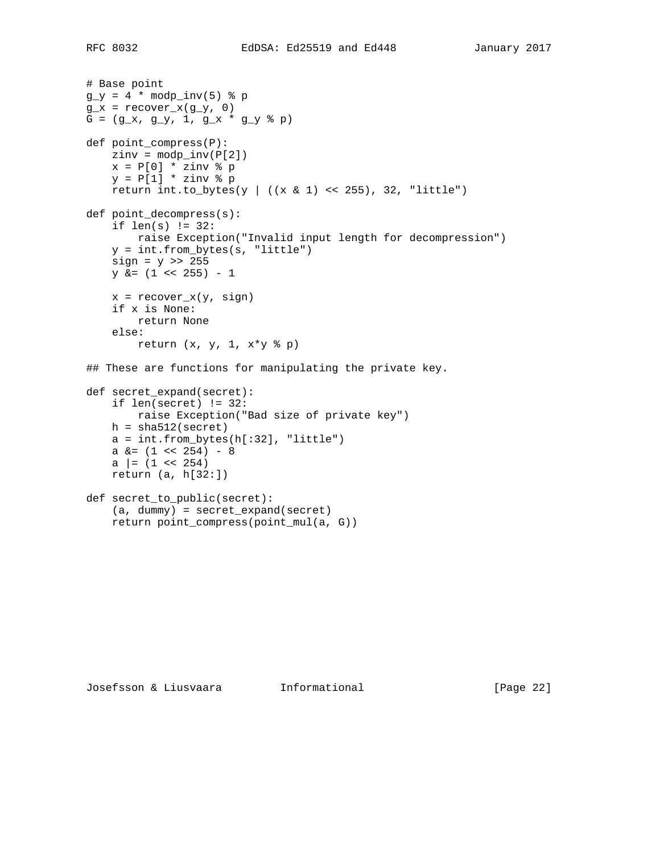# Base point  $g_y = 4 * \text{mod}p\_inv(5)$  & p  $g_x =$  recover $x(g_y, 0)$  $G = (g_x, g_y, 1, g_x * g_y * p)$ def point\_compress(P):  $zinv = modp\_inv(P[2])$  $x = P[0] * zinv * p$  $y = P[1] * zinv * p$ return int.to\_bytes(y |  $((x \& 1) \<< 255)$ , 32, "little") def point\_decompress(s): if len(s) != 32: raise Exception("Invalid input length for decompression") y = int.from\_bytes(s, "little")  $sign = y \gg 255$  $y$  &=  $(1 \le 255) - 1$  $x = recover_x(y, sign)$  if x is None: return None else: return  $(x, y, 1, x*y * p)$ ## These are functions for manipulating the private key. def secret\_expand(secret): if len(secret) != 32: raise Exception("Bad size of private key")  $h = sha512$ (secret)  $a = int.from_bytes(h[:32], "little")$ a  $\&=$   $(1 \leq 254) - 8$ a  $= (1 \le 254)$  return (a, h[32:]) def secret\_to\_public(secret): (a, dummy) = secret\_expand(secret) return point\_compress(point\_mul(a, G))

Josefsson & Liusvaara Informational [Page 22]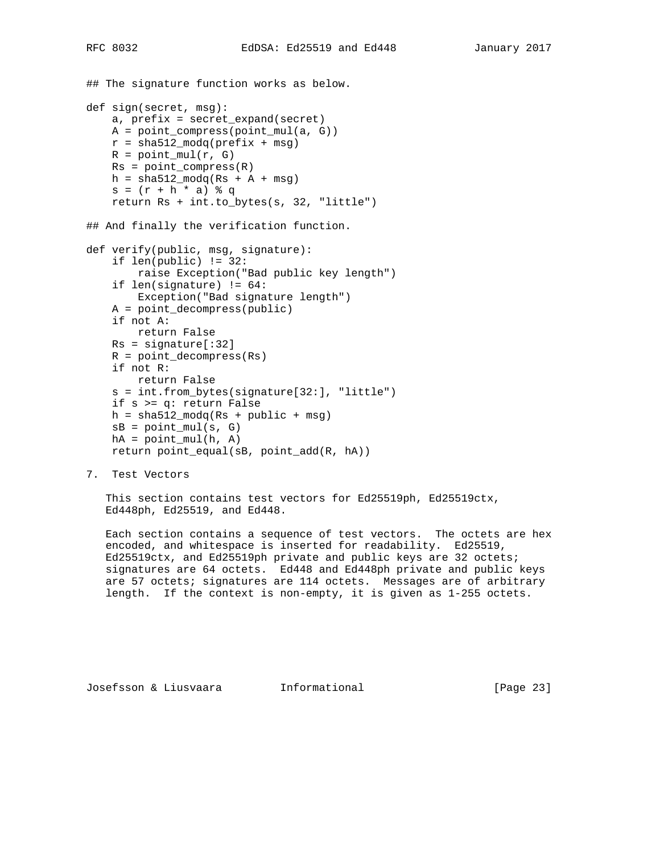```
## The signature function works as below.
def sign(secret, msg):
     a, prefix = secret_expand(secret)
    A = point_compress(point_mul(a, G))
   r = \text{sha512_model}(\text{prefix} + \text{msg})R = point\_mul(r, G)Rs = point_{compress}(R)h = sha512 \mod (Rs + A + msg)s = (r + h * a) * q return Rs + int.to_bytes(s, 32, "little")
## And finally the verification function.
def verify(public, msg, signature):
     if len(public) != 32:
         raise Exception("Bad public key length")
     if len(signature) != 64:
        Exception("Bad signature length")
     A = point_decompress(public)
     if not A:
        return False
   Rs = signature[:32] R = point_decompress(Rs)
     if not R:
         return False
     s = int.from_bytes(signature[32:], "little")
     if s >= q: return False
    h = sha512_moodq(Rs + public + msg)sB = point\_mul(s, G)hA = point_mull(h, A)
```

```
 return point_equal(sB, point_add(R, hA))
```
7. Test Vectors

 This section contains test vectors for Ed25519ph, Ed25519ctx, Ed448ph, Ed25519, and Ed448.

 Each section contains a sequence of test vectors. The octets are hex encoded, and whitespace is inserted for readability. Ed25519, Ed25519ctx, and Ed25519ph private and public keys are 32 octets; signatures are 64 octets. Ed448 and Ed448ph private and public keys are 57 octets; signatures are 114 octets. Messages are of arbitrary length. If the context is non-empty, it is given as 1-255 octets.

Josefsson & Liusvaara Informational [Page 23]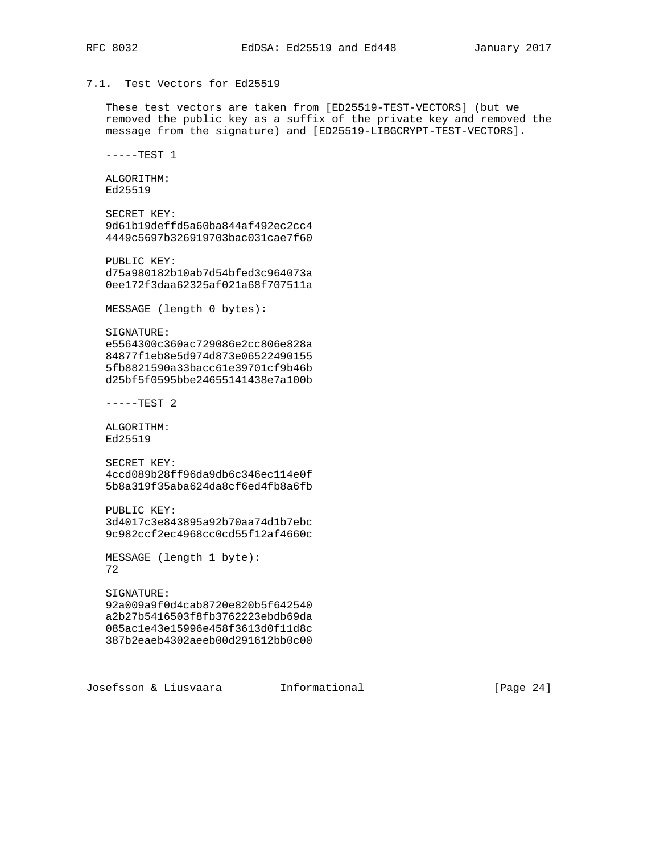# 7.1. Test Vectors for Ed25519

 These test vectors are taken from [ED25519-TEST-VECTORS] (but we removed the public key as a suffix of the private key and removed the message from the signature) and [ED25519-LIBGCRYPT-TEST-VECTORS].

 $---TEST 1$ 

 ALGORITHM: Ed25519

```
 SECRET KEY:
 9d61b19deffd5a60ba844af492ec2cc4
 4449c5697b326919703bac031cae7f60
```
 PUBLIC KEY: d75a980182b10ab7d54bfed3c964073a 0ee172f3daa62325af021a68f707511a

MESSAGE (length 0 bytes):

 SIGNATURE: e5564300c360ac729086e2cc806e828a 84877f1eb8e5d974d873e06522490155 5fb8821590a33bacc61e39701cf9b46b d25bf5f0595bbe24655141438e7a100b

-----TEST 2

 ALGORITHM: Ed25519

 SECRET KEY: 4ccd089b28ff96da9db6c346ec114e0f 5b8a319f35aba624da8cf6ed4fb8a6fb

 PUBLIC KEY: 3d4017c3e843895a92b70aa74d1b7ebc 9c982ccf2ec4968cc0cd55f12af4660c

 MESSAGE (length 1 byte): 72

 SIGNATURE: 92a009a9f0d4cab8720e820b5f642540 a2b27b5416503f8fb3762223ebdb69da 085ac1e43e15996e458f3613d0f11d8c 387b2eaeb4302aeeb00d291612bb0c00

Josefsson & Liusvaara Informational [Page 24]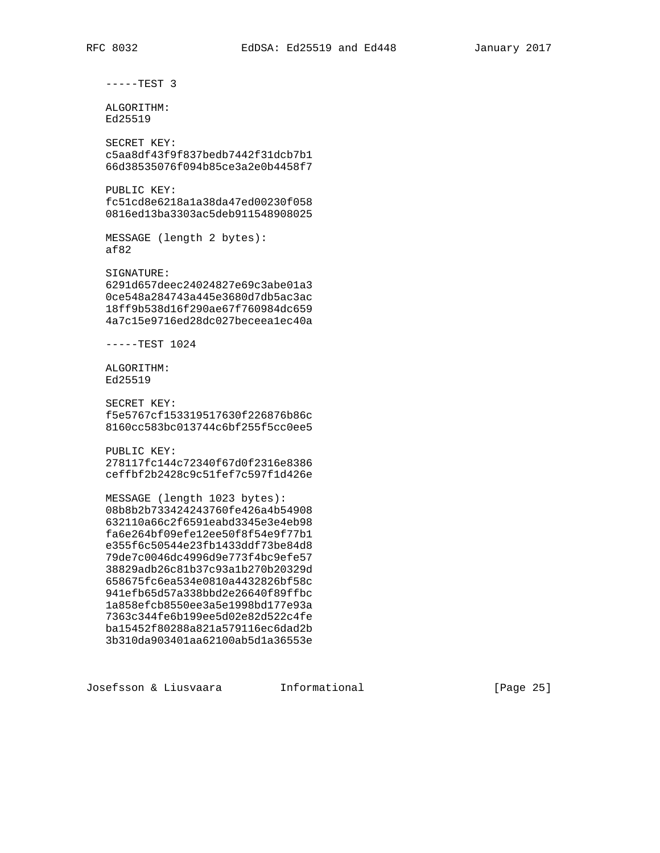-----TEST 3

 ALGORITHM: Ed25519

 SECRET KEY: c5aa8df43f9f837bedb7442f31dcb7b1 66d38535076f094b85ce3a2e0b4458f7

 PUBLIC KEY: fc51cd8e6218a1a38da47ed00230f058 0816ed13ba3303ac5deb911548908025

 MESSAGE (length 2 bytes): af82

 SIGNATURE: 6291d657deec24024827e69c3abe01a3 0ce548a284743a445e3680d7db5ac3ac 18ff9b538d16f290ae67f760984dc659 4a7c15e9716ed28dc027beceea1ec40a

-----TEST 1024

 ALGORITHM: Ed25519

 SECRET KEY: f5e5767cf153319517630f226876b86c 8160cc583bc013744c6bf255f5cc0ee5

PUBLIC KEY:

 278117fc144c72340f67d0f2316e8386 ceffbf2b2428c9c51fef7c597f1d426e

 MESSAGE (length 1023 bytes): 08b8b2b733424243760fe426a4b54908 632110a66c2f6591eabd3345e3e4eb98 fa6e264bf09efe12ee50f8f54e9f77b1 e355f6c50544e23fb1433ddf73be84d8 79de7c0046dc4996d9e773f4bc9efe57 38829adb26c81b37c93a1b270b20329d 658675fc6ea534e0810a4432826bf58c 941efb65d57a338bbd2e26640f89ffbc 1a858efcb8550ee3a5e1998bd177e93a 7363c344fe6b199ee5d02e82d522c4fe ba15452f80288a821a579116ec6dad2b 3b310da903401aa62100ab5d1a36553e

Josefsson & Liusvaara Informational [Page 25]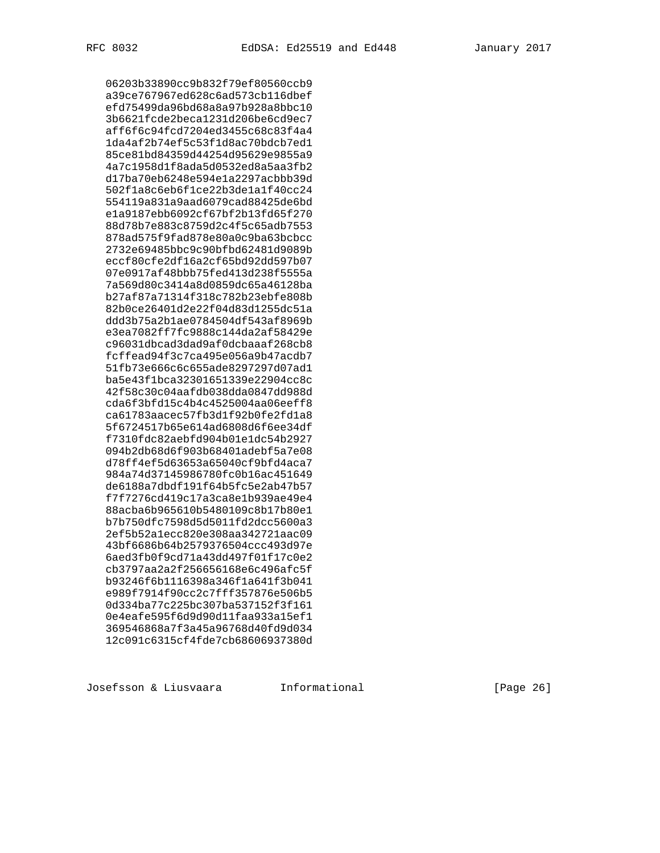06203b33890cc9b832f79ef80560ccb9 a39ce767967ed628c6ad573cb116dbef efd75499da96bd68a8a97b928a8bbc10 3b6621fcde2beca1231d206be6cd9ec7 aff6f6c94fcd7204ed3455c68c83f4a4 1da4af2b74ef5c53f1d8ac70bdcb7ed1 85ce81bd84359d44254d95629e9855a9 4a7c1958d1f8ada5d0532ed8a5aa3fb2 d17ba70eb6248e594e1a2297acbbb39d 502f1a8c6eb6f1ce22b3de1a1f40cc24 554119a831a9aad6079cad88425de6bd e1a9187ebb6092cf67bf2b13fd65f270 88d78b7e883c8759d2c4f5c65adb7553 878ad575f9fad878e80a0c9ba63bcbcc 2732e69485bbc9c90bfbd62481d9089b eccf80cfe2df16a2cf65bd92dd597b07 07e0917af48bbb75fed413d238f5555a 7a569d80c3414a8d0859dc65a46128ba b27af87a71314f318c782b23ebfe808b 82b0ce26401d2e22f04d83d1255dc51a ddd3b75a2b1ae0784504df543af8969b e3ea7082ff7fc9888c144da2af58429e c96031dbcad3dad9af0dcbaaaf268cb8 fcffead94f3c7ca495e056a9b47acdb7 51fb73e666c6c655ade8297297d07ad1 ba5e43f1bca32301651339e22904cc8c 42f58c30c04aafdb038dda0847dd988d cda6f3bfd15c4b4c4525004aa06eeff8 ca61783aacec57fb3d1f92b0fe2fd1a8 5f6724517b65e614ad6808d6f6ee34df f7310fdc82aebfd904b01e1dc54b2927 094b2db68d6f903b68401adebf5a7e08 d78ff4ef5d63653a65040cf9bfd4aca7 984a74d37145986780fc0b16ac451649 de6188a7dbdf191f64b5fc5e2ab47b57 f7f7276cd419c17a3ca8e1b939ae49e4 88acba6b965610b5480109c8b17b80e1 b7b750dfc7598d5d5011fd2dcc5600a3 2ef5b52a1ecc820e308aa342721aac09 43bf6686b64b2579376504ccc493d97e 6aed3fb0f9cd71a43dd497f01f17c0e2 cb3797aa2a2f256656168e6c496afc5f b93246f6b1116398a346f1a641f3b041 e989f7914f90cc2c7fff357876e506b5 0d334ba77c225bc307ba537152f3f161 0e4eafe595f6d9d90d11faa933a15ef1 369546868a7f3a45a96768d40fd9d034 12c091c6315cf4fde7cb68606937380d

Josefsson & Liusvaara Informational [Page 26]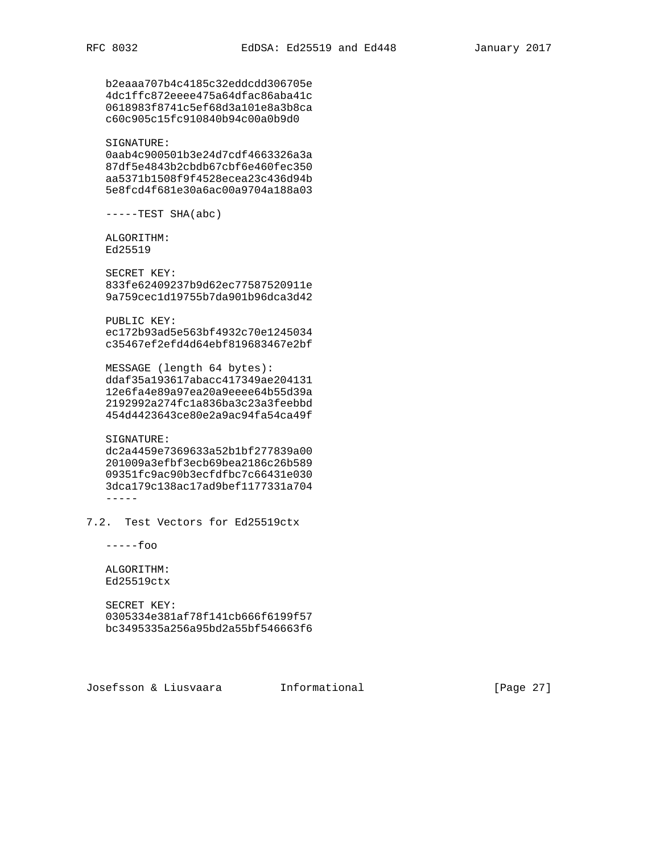b2eaaa707b4c4185c32eddcdd306705e 4dc1ffc872eeee475a64dfac86aba41c 0618983f8741c5ef68d3a101e8a3b8ca c60c905c15fc910840b94c00a0b9d0 SIGNATURE: 0aab4c900501b3e24d7cdf4663326a3a 87df5e4843b2cbdb67cbf6e460fec350 aa5371b1508f9f4528ecea23c436d94b 5e8fcd4f681e30a6ac00a9704a188a03  $---TEST SHA(abc)$  ALGORITHM: Ed25519 SECRET KEY: 833fe62409237b9d62ec77587520911e 9a759cec1d19755b7da901b96dca3d42 PUBLIC KEY: ec172b93ad5e563bf4932c70e1245034 c35467ef2efd4d64ebf819683467e2bf MESSAGE (length 64 bytes): ddaf35a193617abacc417349ae204131 12e6fa4e89a97ea20a9eeee64b55d39a 2192992a274fc1a836ba3c23a3feebbd 454d4423643ce80e2a9ac94fa54ca49f SIGNATURE: dc2a4459e7369633a52b1bf277839a00 201009a3efbf3ecb69bea2186c26b589 09351fc9ac90b3ecfdfbc7c66431e030 3dca179c138ac17ad9bef1177331a704 ----- 7.2. Test Vectors for Ed25519ctx -----foo ALGORITHM: Ed25519ctx

 SECRET KEY: 0305334e381af78f141cb666f6199f57 bc3495335a256a95bd2a55bf546663f6

Josefsson & Liusvaara Informational [Page 27]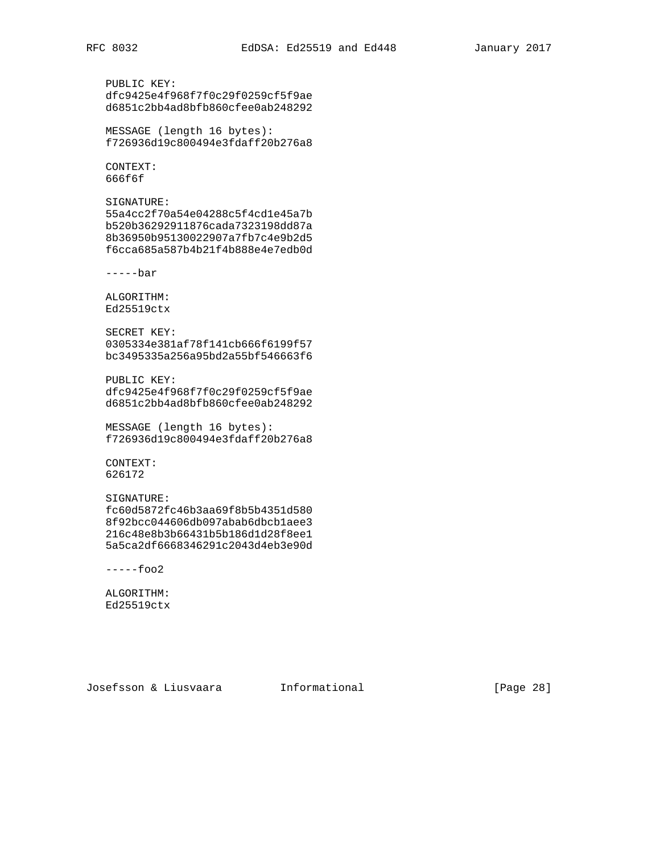PUBLIC KEY: dfc9425e4f968f7f0c29f0259cf5f9ae d6851c2bb4ad8bfb860cfee0ab248292 MESSAGE (length 16 bytes): f726936d19c800494e3fdaff20b276a8

 CONTEXT: 666f6f

 SIGNATURE: 55a4cc2f70a54e04288c5f4cd1e45a7b b520b36292911876cada7323198dd87a 8b36950b95130022907a7fb7c4e9b2d5 f6cca685a587b4b21f4b888e4e7edb0d

-----bar

 ALGORITHM: Ed25519ctx

 SECRET KEY: 0305334e381af78f141cb666f6199f57 bc3495335a256a95bd2a55bf546663f6

 PUBLIC KEY: dfc9425e4f968f7f0c29f0259cf5f9ae d6851c2bb4ad8bfb860cfee0ab248292

 MESSAGE (length 16 bytes): f726936d19c800494e3fdaff20b276a8

 CONTEXT: 626172

# SIGNATURE: fc60d5872fc46b3aa69f8b5b4351d580 8f92bcc044606db097abab6dbcb1aee3

 216c48e8b3b66431b5b186d1d28f8ee1 5a5ca2df6668346291c2043d4eb3e90d

 $---$ foo $2$ 

 ALGORITHM: Ed25519ctx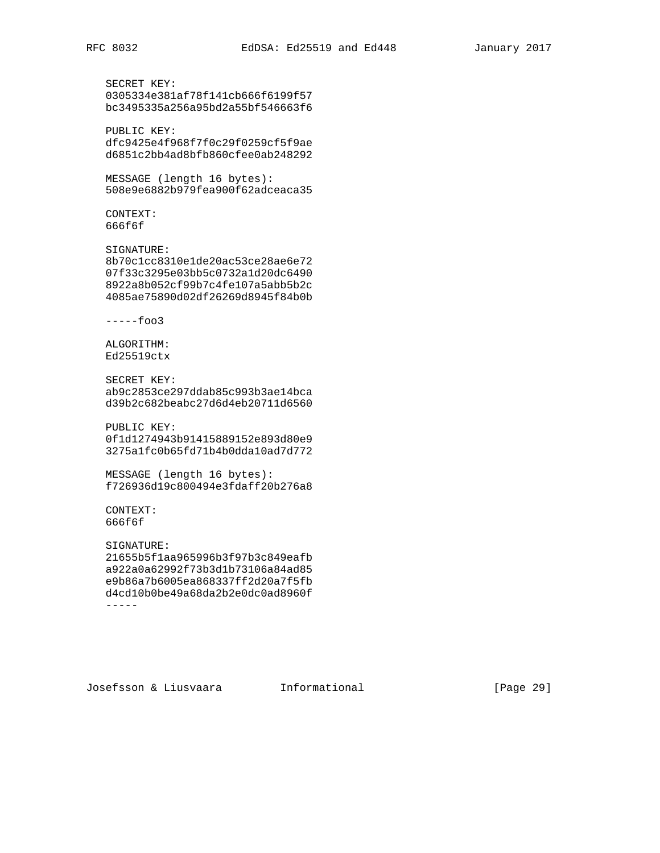```
 SECRET KEY:
 0305334e381af78f141cb666f6199f57
 bc3495335a256a95bd2a55bf546663f6
```
 PUBLIC KEY: dfc9425e4f968f7f0c29f0259cf5f9ae d6851c2bb4ad8bfb860cfee0ab248292

MESSAGE (length 16 bytes):

508e9e6882b979fea900f62adceaca35

 CONTEXT: 666f6f

 SIGNATURE: 8b70c1cc8310e1de20ac53ce28ae6e72 07f33c3295e03bb5c0732a1d20dc6490 8922a8b052cf99b7c4fe107a5abb5b2c 4085ae75890d02df26269d8945f84b0b

 $---$ foo3

 ALGORITHM: Ed25519ctx

 SECRET KEY: ab9c2853ce297ddab85c993b3ae14bca d39b2c682beabc27d6d4eb20711d6560

 PUBLIC KEY: 0f1d1274943b91415889152e893d80e9 3275a1fc0b65fd71b4b0dda10ad7d772

 MESSAGE (length 16 bytes): f726936d19c800494e3fdaff20b276a8

 CONTEXT: 666f6f

 SIGNATURE: 21655b5f1aa965996b3f97b3c849eafb a922a0a62992f73b3d1b73106a84ad85 e9b86a7b6005ea868337ff2d20a7f5fb d4cd10b0be49a68da2b2e0dc0ad8960f -----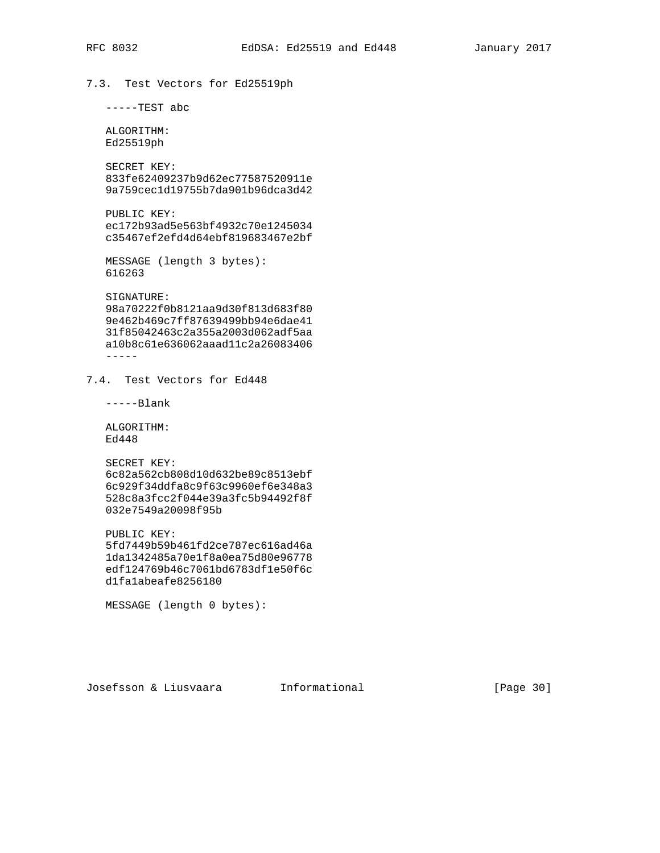# 7.3. Test Vectors for Ed25519ph

-----TEST abc

 ALGORITHM: Ed25519ph

 SECRET KEY: 833fe62409237b9d62ec77587520911e 9a759cec1d19755b7da901b96dca3d42

 PUBLIC KEY: ec172b93ad5e563bf4932c70e1245034 c35467ef2efd4d64ebf819683467e2bf

 MESSAGE (length 3 bytes): 616263

 SIGNATURE: 98a70222f0b8121aa9d30f813d683f80 9e462b469c7ff87639499bb94e6dae41 31f85042463c2a355a2003d062adf5aa a10b8c61e636062aaad11c2a26083406 -----

7.4. Test Vectors for Ed448

-----Blank

 ALGORITHM: Ed448

 SECRET KEY: 6c82a562cb808d10d632be89c8513ebf 6c929f34ddfa8c9f63c9960ef6e348a3 528c8a3fcc2f044e39a3fc5b94492f8f 032e7549a20098f95b

 PUBLIC KEY: 5fd7449b59b461fd2ce787ec616ad46a 1da1342485a70e1f8a0ea75d80e96778 edf124769b46c7061bd6783df1e50f6c d1fa1abeafe8256180

MESSAGE (length 0 bytes):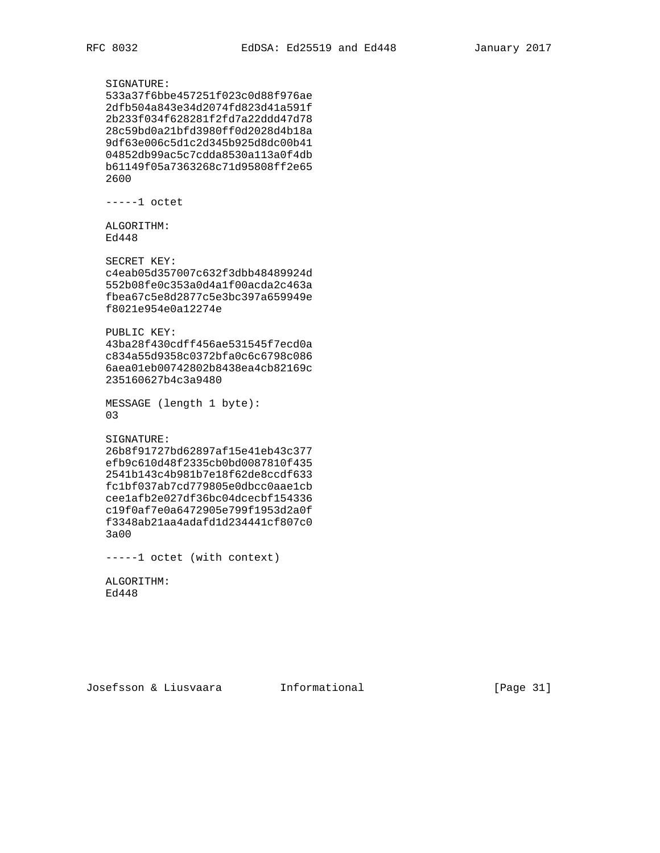SIGNATURE: 533a37f6bbe457251f023c0d88f976ae 2dfb504a843e34d2074fd823d41a591f 2b233f034f628281f2fd7a22ddd47d78 28c59bd0a21bfd3980ff0d2028d4b18a 9df63e006c5d1c2d345b925d8dc00b41 04852db99ac5c7cdda8530a113a0f4db b61149f05a7363268c71d95808ff2e65 2600 -----1 octet ALGORITHM: Ed448 SECRET KEY: c4eab05d357007c632f3dbb48489924d 552b08fe0c353a0d4a1f00acda2c463a fbea67c5e8d2877c5e3bc397a659949e f8021e954e0a12274e PUBLIC KEY: 43ba28f430cdff456ae531545f7ecd0a c834a55d9358c0372bfa0c6c6798c086 6aea01eb00742802b8438ea4cb82169c 235160627b4c3a9480 MESSAGE (length 1 byte): 03 SIGNATURE: 26b8f91727bd62897af15e41eb43c377 efb9c610d48f2335cb0bd0087810f435 2541b143c4b981b7e18f62de8ccdf633 fc1bf037ab7cd779805e0dbcc0aae1cb cee1afb2e027df36bc04dcecbf154336 c19f0af7e0a6472905e799f1953d2a0f f3348ab21aa4adafd1d234441cf807c0 3a00

-----1 octet (with context)

 ALGORITHM: Ed448

Josefsson & Liusvaara Informational [Page 31]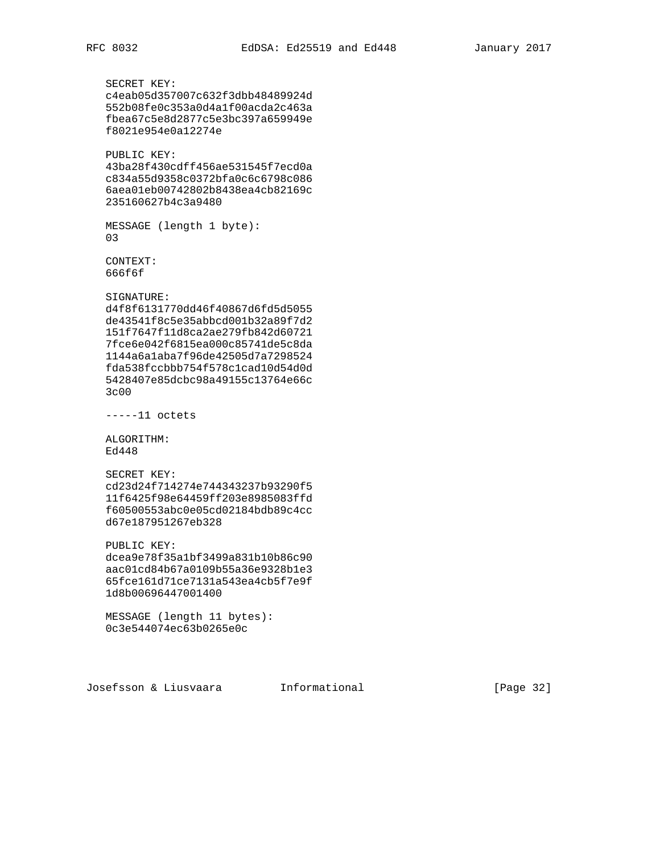```
 SECRET KEY:
 c4eab05d357007c632f3dbb48489924d
 552b08fe0c353a0d4a1f00acda2c463a
 fbea67c5e8d2877c5e3bc397a659949e
 f8021e954e0a12274e
 PUBLIC KEY:
 43ba28f430cdff456ae531545f7ecd0a
 c834a55d9358c0372bfa0c6c6798c086
 6aea01eb00742802b8438ea4cb82169c
 235160627b4c3a9480
 MESSAGE (length 1 byte):
 03
 CONTEXT:
 666f6f
 SIGNATURE:
 d4f8f6131770dd46f40867d6fd5d5055
 de43541f8c5e35abbcd001b32a89f7d2
 151f7647f11d8ca2ae279fb842d60721
 7fce6e042f6815ea000c85741de5c8da
 1144a6a1aba7f96de42505d7a7298524
 fda538fccbbb754f578c1cad10d54d0d
 5428407e85dcbc98a49155c13764e66c
 3c00
 -----11 octets
 ALGORITHM:
 Ed448
 SECRET KEY:
 cd23d24f714274e744343237b93290f5
 11f6425f98e64459ff203e8985083ffd
 f60500553abc0e05cd02184bdb89c4cc
 d67e187951267eb328
 PUBLIC KEY:
 dcea9e78f35a1bf3499a831b10b86c90
 aac01cd84b67a0109b55a36e9328b1e3
 65fce161d71ce7131a543ea4cb5f7e9f
 1d8b00696447001400
 MESSAGE (length 11 bytes):
 0c3e544074ec63b0265e0c
```
Josefsson & Liusvaara Informational [Page 32]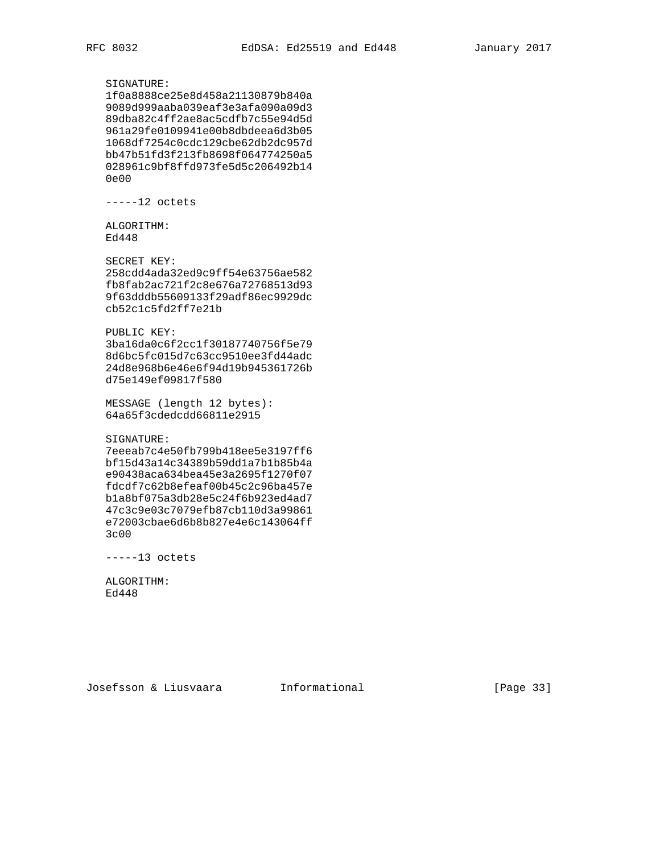## SIGNATURE:

 1f0a8888ce25e8d458a21130879b840a 9089d999aaba039eaf3e3afa090a09d3 89dba82c4ff2ae8ac5cdfb7c55e94d5d 961a29fe0109941e00b8dbdeea6d3b05 1068df7254c0cdc129cbe62db2dc957d bb47b51fd3f213fb8698f064774250a5 028961c9bf8ffd973fe5d5c206492b14 0e00

-----12 octets

 ALGORITHM: Ed448

 SECRET KEY: 258cdd4ada32ed9c9ff54e63756ae582 fb8fab2ac721f2c8e676a72768513d93 9f63dddb55609133f29adf86ec9929dc cb52c1c5fd2ff7e21b

#### PUBLIC KEY:

 3ba16da0c6f2cc1f30187740756f5e79 8d6bc5fc015d7c63cc9510ee3fd44adc 24d8e968b6e46e6f94d19b945361726b d75e149ef09817f580

 MESSAGE (length 12 bytes): 64a65f3cdedcdd66811e2915

## SIGNATURE:

 7eeeab7c4e50fb799b418ee5e3197ff6 bf15d43a14c34389b59dd1a7b1b85b4a e90438aca634bea45e3a2695f1270f07 fdcdf7c62b8efeaf00b45c2c96ba457e b1a8bf075a3db28e5c24f6b923ed4ad7 47c3c9e03c7079efb87cb110d3a99861 e72003cbae6d6b8b827e4e6c143064ff 3c00

-----13 octets

 ALGORITHM: Ed448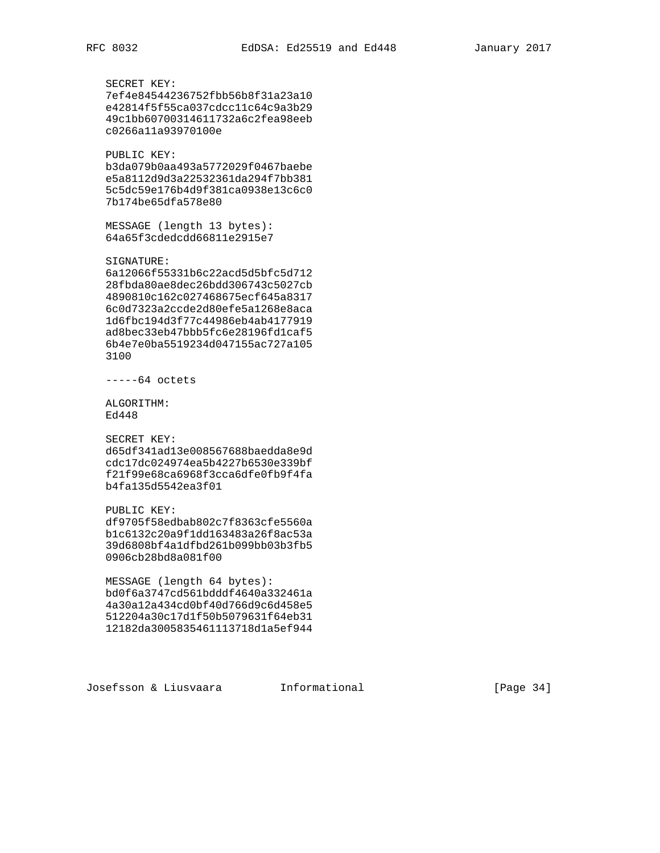SECRET KEY: 7ef4e84544236752fbb56b8f31a23a10 e42814f5f55ca037cdcc11c64c9a3b29 49c1bb60700314611732a6c2fea98eeb c0266a11a93970100e

 PUBLIC KEY: b3da079b0aa493a5772029f0467baebe e5a8112d9d3a22532361da294f7bb381 5c5dc59e176b4d9f381ca0938e13c6c0 7b174be65dfa578e80

 MESSAGE (length 13 bytes): 64a65f3cdedcdd66811e2915e7

SIGNATURE:

 6a12066f55331b6c22acd5d5bfc5d712 28fbda80ae8dec26bdd306743c5027cb 4890810c162c027468675ecf645a8317 6c0d7323a2ccde2d80efe5a1268e8aca 1d6fbc194d3f77c44986eb4ab4177919 ad8bec33eb47bbb5fc6e28196fd1caf5 6b4e7e0ba5519234d047155ac727a105 3100

-----64 octets

 ALGORITHM: Ed448

SECRET KEY:

 d65df341ad13e008567688baedda8e9d cdc17dc024974ea5b4227b6530e339bf f21f99e68ca6968f3cca6dfe0fb9f4fa b4fa135d5542ea3f01

PUBLIC KEY:

 df9705f58edbab802c7f8363cfe5560a b1c6132c20a9f1dd163483a26f8ac53a 39d6808bf4a1dfbd261b099bb03b3fb5 0906cb28bd8a081f00

 MESSAGE (length 64 bytes): bd0f6a3747cd561bdddf4640a332461a 4a30a12a434cd0bf40d766d9c6d458e5 512204a30c17d1f50b5079631f64eb31 12182da3005835461113718d1a5ef944

Josefsson & Liusvaara Informational [Page 34]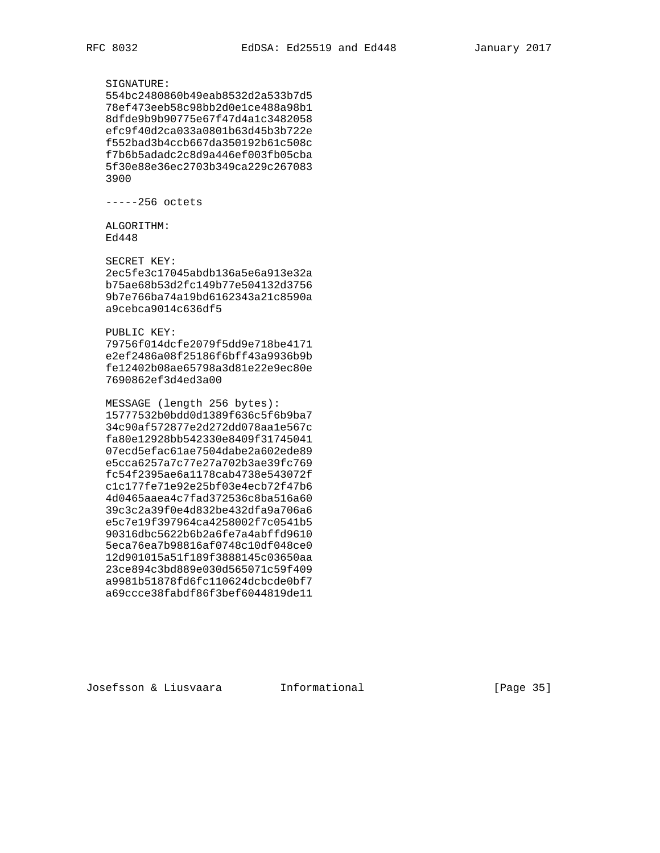SIGNATURE:

 554bc2480860b49eab8532d2a533b7d5 78ef473eeb58c98bb2d0e1ce488a98b1 8dfde9b9b90775e67f47d4a1c3482058 efc9f40d2ca033a0801b63d45b3b722e f552bad3b4ccb667da350192b61c508c f7b6b5adadc2c8d9a446ef003fb05cba 5f30e88e36ec2703b349ca229c267083 3900

-----256 octets

 ALGORITHM: Ed448

 SECRET KEY: 2ec5fe3c17045abdb136a5e6a913e32a b75ae68b53d2fc149b77e504132d3756 9b7e766ba74a19bd6162343a21c8590a a9cebca9014c636df5

## PUBLIC KEY:

 79756f014dcfe2079f5dd9e718be4171 e2ef2486a08f25186f6bff43a9936b9b fe12402b08ae65798a3d81e22e9ec80e 7690862ef3d4ed3a00

 MESSAGE (length 256 bytes): 15777532b0bdd0d1389f636c5f6b9ba7 34c90af572877e2d272dd078aa1e567c fa80e12928bb542330e8409f31745041 07ecd5efac61ae7504dabe2a602ede89 e5cca6257a7c77e27a702b3ae39fc769 fc54f2395ae6a1178cab4738e543072f c1c177fe71e92e25bf03e4ecb72f47b6 4d0465aaea4c7fad372536c8ba516a60 39c3c2a39f0e4d832be432dfa9a706a6 e5c7e19f397964ca4258002f7c0541b5 90316dbc5622b6b2a6fe7a4abffd9610 5eca76ea7b98816af0748c10df048ce0 12d901015a51f189f3888145c03650aa 23ce894c3bd889e030d565071c59f409 a9981b51878fd6fc110624dcbcde0bf7 a69ccce38fabdf86f3bef6044819de11

Josefsson & Liusvaara Informational [Page 35]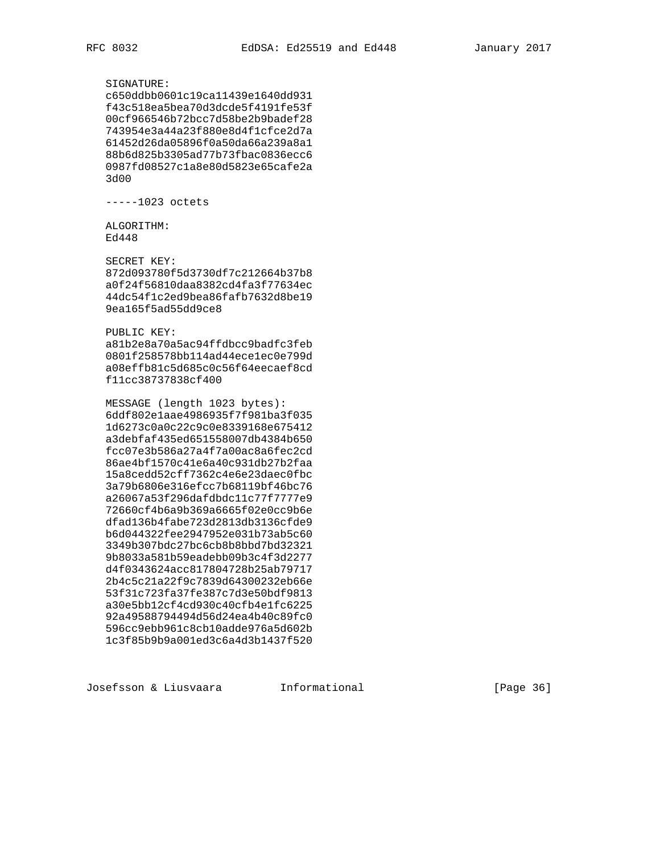SIGNATURE: c650ddbb0601c19ca11439e1640dd931 f43c518ea5bea70d3dcde5f4191fe53f 00cf966546b72bcc7d58be2b9badef28 743954e3a44a23f880e8d4f1cfce2d7a 61452d26da05896f0a50da66a239a8a1 88b6d825b3305ad77b73fbac0836ecc6 0987fd08527c1a8e80d5823e65cafe2a 3d00 -----1023 octets ALGORITHM: Ed448 SECRET KEY: 872d093780f5d3730df7c212664b37b8 a0f24f56810daa8382cd4fa3f77634ec 44dc54f1c2ed9bea86fafb7632d8be19 9ea165f5ad55dd9ce8 PUBLIC KEY: a81b2e8a70a5ac94ffdbcc9badfc3feb 0801f258578bb114ad44ece1ec0e799d a08effb81c5d685c0c56f64eecaef8cd f11cc38737838cf400

 MESSAGE (length 1023 bytes): 6ddf802e1aae4986935f7f981ba3f035 1d6273c0a0c22c9c0e8339168e675412 a3debfaf435ed651558007db4384b650 fcc07e3b586a27a4f7a00ac8a6fec2cd 86ae4bf1570c41e6a40c931db27b2faa 15a8cedd52cff7362c4e6e23daec0fbc 3a79b6806e316efcc7b68119bf46bc76 a26067a53f296dafdbdc11c77f7777e9 72660cf4b6a9b369a6665f02e0cc9b6e dfad136b4fabe723d2813db3136cfde9 b6d044322fee2947952e031b73ab5c60 3349b307bdc27bc6cb8b8bbd7bd32321 9b8033a581b59eadebb09b3c4f3d2277 d4f0343624acc817804728b25ab79717 2b4c5c21a22f9c7839d64300232eb66e 53f31c723fa37fe387c7d3e50bdf9813 a30e5bb12cf4cd930c40cfb4e1fc6225 92a49588794494d56d24ea4b40c89fc0 596cc9ebb961c8cb10adde976a5d602b 1c3f85b9b9a001ed3c6a4d3b1437f520

Josefsson & Liusvaara Informational [Page 36]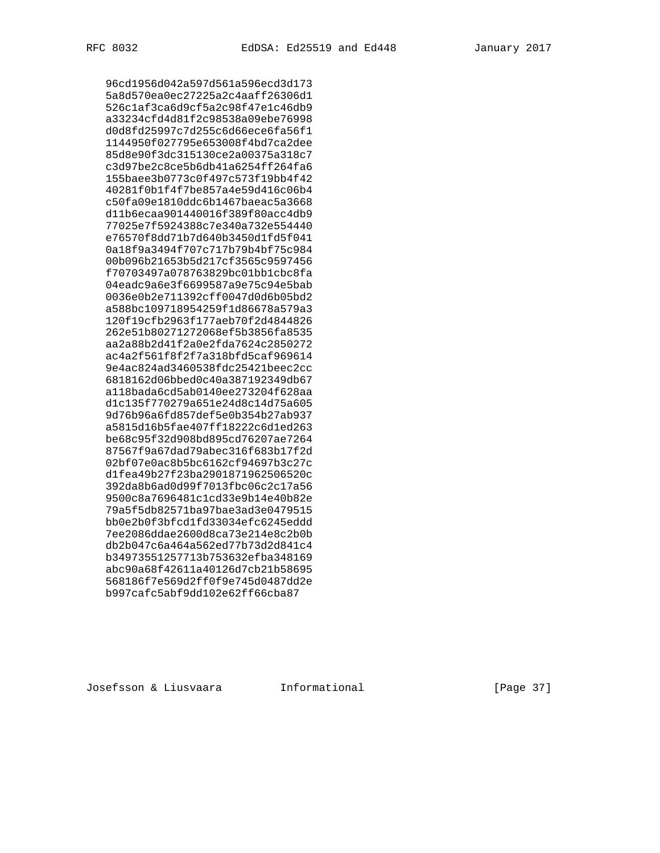96cd1956d042a597d561a596ecd3d173 5a8d570ea0ec27225a2c4aaff26306d1 526c1af3ca6d9cf5a2c98f47e1c46db9 a33234cfd4d81f2c98538a09ebe76998 d0d8fd25997c7d255c6d66ece6fa56f1 1144950f027795e653008f4bd7ca2dee 85d8e90f3dc315130ce2a00375a318c7 c3d97be2c8ce5b6db41a6254ff264fa6 155baee3b0773c0f497c573f19bb4f42 40281f0b1f4f7be857a4e59d416c06b4 c50fa09e1810ddc6b1467baeac5a3668 d11b6ecaa901440016f389f80acc4db9 77025e7f5924388c7e340a732e554440 e76570f8dd71b7d640b3450d1fd5f041 0a18f9a3494f707c717b79b4bf75c984 00b096b21653b5d217cf3565c9597456 f70703497a078763829bc01bb1cbc8fa 04eadc9a6e3f6699587a9e75c94e5bab 0036e0b2e711392cff0047d0d6b05bd2 a588bc109718954259f1d86678a579a3 120f19cfb2963f177aeb70f2d4844826 262e51b80271272068ef5b3856fa8535 aa2a88b2d41f2a0e2fda7624c2850272 ac4a2f561f8f2f7a318bfd5caf969614 9e4ac824ad3460538fdc25421beec2cc 6818162d06bbed0c40a387192349db67 a118bada6cd5ab0140ee273204f628aa d1c135f770279a651e24d8c14d75a605 9d76b96a6fd857def5e0b354b27ab937 a5815d16b5fae407ff18222c6d1ed263 be68c95f32d908bd895cd76207ae7264 87567f9a67dad79abec316f683b17f2d 02bf07e0ac8b5bc6162cf94697b3c27c d1fea49b27f23ba2901871962506520c 392da8b6ad0d99f7013fbc06c2c17a56 9500c8a7696481c1cd33e9b14e40b82e 79a5f5db82571ba97bae3ad3e0479515 bb0e2b0f3bfcd1fd33034efc6245eddd 7ee2086ddae2600d8ca73e214e8c2b0b db2b047c6a464a562ed77b73d2d841c4 b34973551257713b753632efba348169 abc90a68f42611a40126d7cb21b58695 568186f7e569d2ff0f9e745d0487dd2e b997cafc5abf9dd102e62ff66cba87

Josefsson & Liusvaara Informational [Page 37]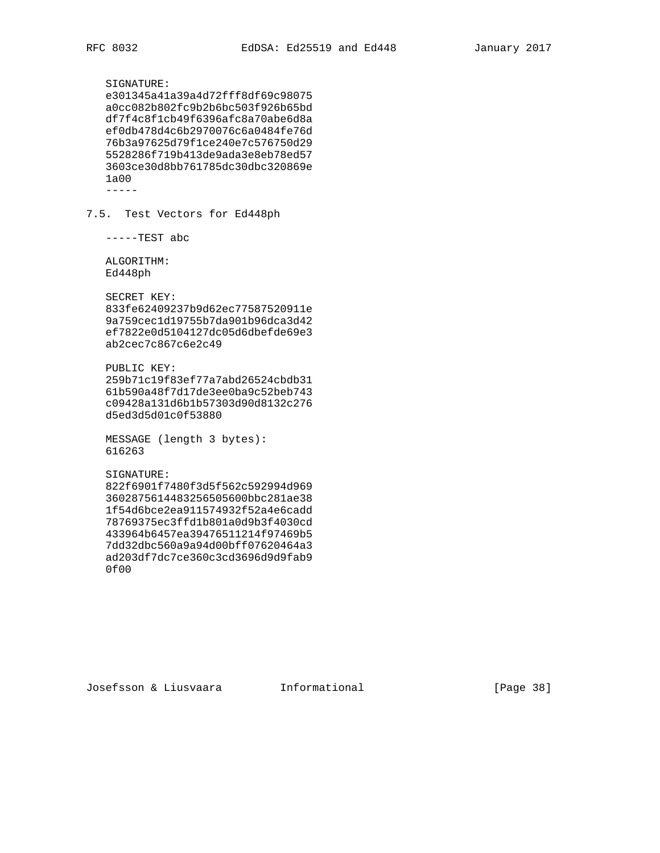SIGNATURE: e301345a41a39a4d72fff8df69c98075 a0cc082b802fc9b2b6bc503f926b65bd df7f4c8f1cb49f6396afc8a70abe6d8a ef0db478d4c6b2970076c6a0484fe76d 76b3a97625d79f1ce240e7c576750d29 5528286f719b413de9ada3e8eb78ed57 3603ce30d8bb761785dc30dbc320869e 1a00 ----- 7.5. Test Vectors for Ed448ph -----TEST abc ALGORITHM: Ed448ph SECRET KEY: 833fe62409237b9d62ec77587520911e 9a759cec1d19755b7da901b96dca3d42 ef7822e0d5104127dc05d6dbefde69e3 ab2cec7c867c6e2c49 PUBLIC KEY: 259b71c19f83ef77a7abd26524cbdb31 61b590a48f7d17de3ee0ba9c52beb743 c09428a131d6b1b57303d90d8132c276 d5ed3d5d01c0f53880 MESSAGE (length 3 bytes): 616263 SIGNATURE: 822f6901f7480f3d5f562c592994d969 3602875614483256505600bbc281ae38 1f54d6bce2ea911574932f52a4e6cadd 78769375ec3ffd1b801a0d9b3f4030cd 433964b6457ea39476511214f97469b5 7dd32dbc560a9a94d00bff07620464a3 ad203df7dc7ce360c3cd3696d9d9fab9 0f00

Josefsson & Liusvaara Informational [Page 38]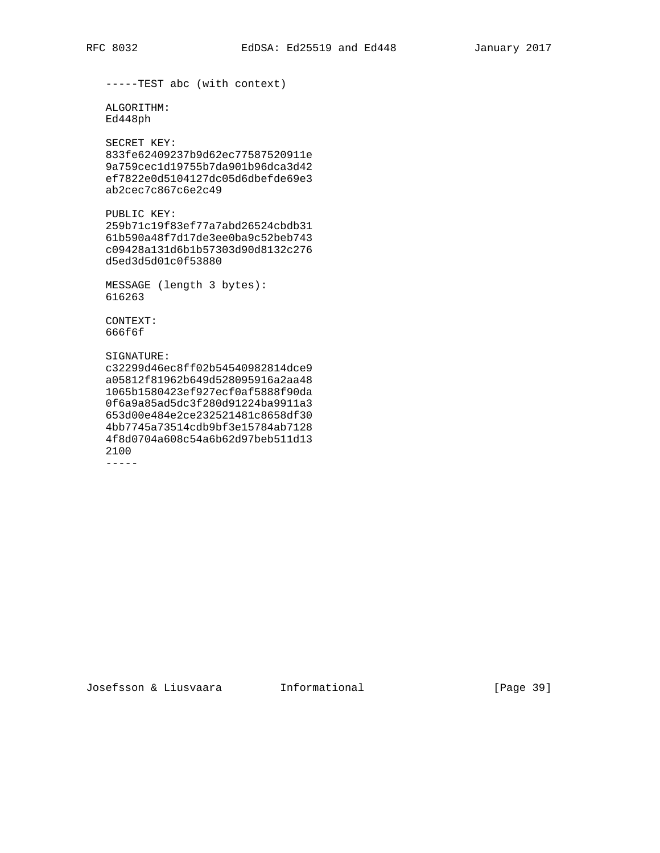```
 -----TEST abc (with context)
 ALGORITHM:
 Ed448ph
 SECRET KEY:
 833fe62409237b9d62ec77587520911e
 9a759cec1d19755b7da901b96dca3d42
 ef7822e0d5104127dc05d6dbefde69e3
 ab2cec7c867c6e2c49
 PUBLIC KEY:
 259b71c19f83ef77a7abd26524cbdb31
 61b590a48f7d17de3ee0ba9c52beb743
 c09428a131d6b1b57303d90d8132c276
 d5ed3d5d01c0f53880
 MESSAGE (length 3 bytes):
 616263
 CONTEXT:
 666f6f
 SIGNATURE:
 c32299d46ec8ff02b54540982814dce9
 a05812f81962b649d528095916a2aa48
```
 1065b1580423ef927ecf0af5888f90da 0f6a9a85ad5dc3f280d91224ba9911a3 653d00e484e2ce232521481c8658df30 4bb7745a73514cdb9bf3e15784ab7128 4f8d0704a608c54a6b62d97beb511d13 2100

 $- - - - -$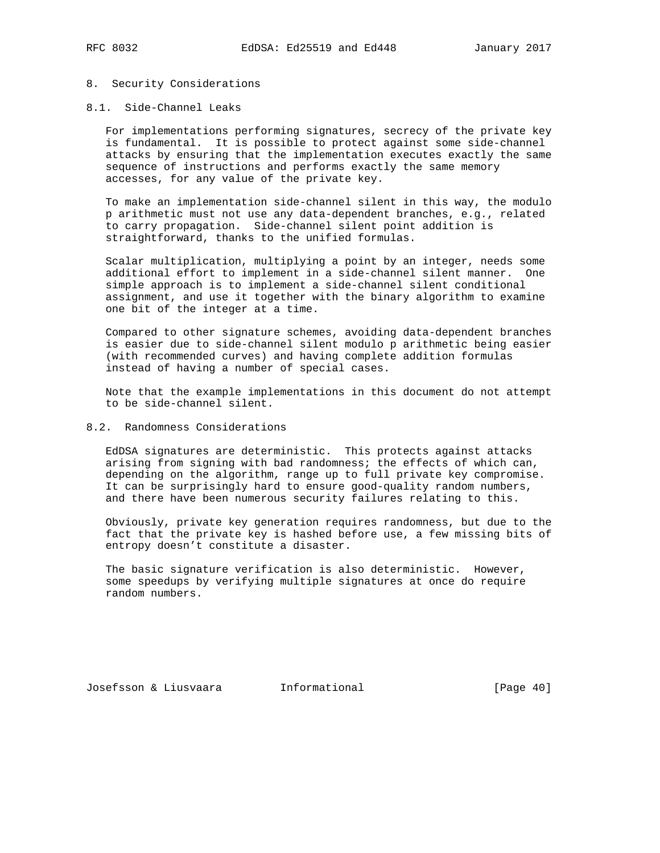## 8. Security Considerations

## 8.1. Side-Channel Leaks

 For implementations performing signatures, secrecy of the private key is fundamental. It is possible to protect against some side-channel attacks by ensuring that the implementation executes exactly the same sequence of instructions and performs exactly the same memory accesses, for any value of the private key.

 To make an implementation side-channel silent in this way, the modulo p arithmetic must not use any data-dependent branches, e.g., related to carry propagation. Side-channel silent point addition is straightforward, thanks to the unified formulas.

 Scalar multiplication, multiplying a point by an integer, needs some additional effort to implement in a side-channel silent manner. One simple approach is to implement a side-channel silent conditional assignment, and use it together with the binary algorithm to examine one bit of the integer at a time.

 Compared to other signature schemes, avoiding data-dependent branches is easier due to side-channel silent modulo p arithmetic being easier (with recommended curves) and having complete addition formulas instead of having a number of special cases.

 Note that the example implementations in this document do not attempt to be side-channel silent.

# 8.2. Randomness Considerations

 EdDSA signatures are deterministic. This protects against attacks arising from signing with bad randomness; the effects of which can, depending on the algorithm, range up to full private key compromise. It can be surprisingly hard to ensure good-quality random numbers, and there have been numerous security failures relating to this.

 Obviously, private key generation requires randomness, but due to the fact that the private key is hashed before use, a few missing bits of entropy doesn't constitute a disaster.

 The basic signature verification is also deterministic. However, some speedups by verifying multiple signatures at once do require random numbers.

Josefsson & Liusvaara Informational [Page 40]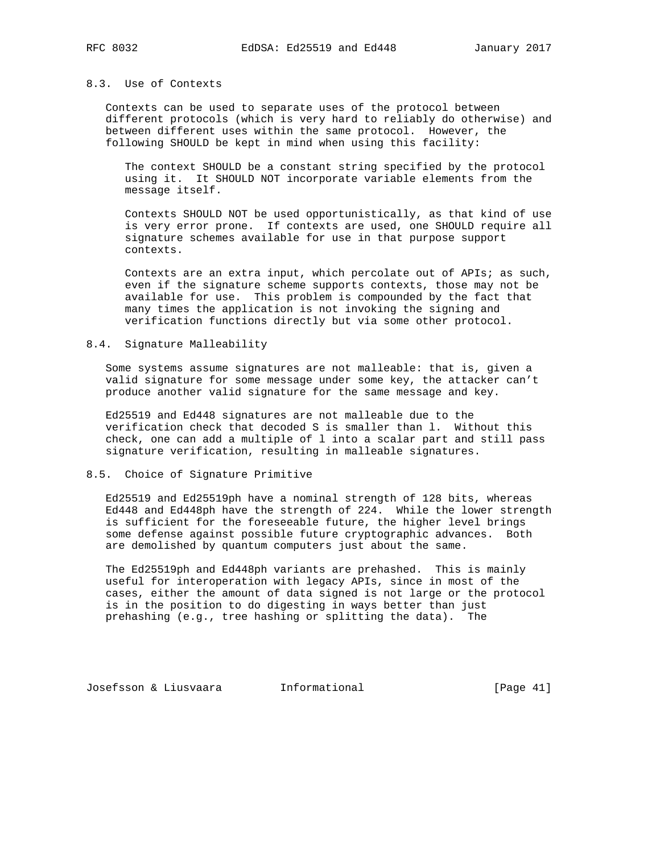## 8.3. Use of Contexts

 Contexts can be used to separate uses of the protocol between different protocols (which is very hard to reliably do otherwise) and between different uses within the same protocol. However, the following SHOULD be kept in mind when using this facility:

 The context SHOULD be a constant string specified by the protocol using it. It SHOULD NOT incorporate variable elements from the message itself.

 Contexts SHOULD NOT be used opportunistically, as that kind of use is very error prone. If contexts are used, one SHOULD require all signature schemes available for use in that purpose support contexts.

 Contexts are an extra input, which percolate out of APIs; as such, even if the signature scheme supports contexts, those may not be available for use. This problem is compounded by the fact that many times the application is not invoking the signing and verification functions directly but via some other protocol.

## 8.4. Signature Malleability

 Some systems assume signatures are not malleable: that is, given a valid signature for some message under some key, the attacker can't produce another valid signature for the same message and key.

 Ed25519 and Ed448 signatures are not malleable due to the verification check that decoded S is smaller than l. Without this check, one can add a multiple of l into a scalar part and still pass signature verification, resulting in malleable signatures.

## 8.5. Choice of Signature Primitive

 Ed25519 and Ed25519ph have a nominal strength of 128 bits, whereas Ed448 and Ed448ph have the strength of 224. While the lower strength is sufficient for the foreseeable future, the higher level brings some defense against possible future cryptographic advances. Both are demolished by quantum computers just about the same.

 The Ed25519ph and Ed448ph variants are prehashed. This is mainly useful for interoperation with legacy APIs, since in most of the cases, either the amount of data signed is not large or the protocol is in the position to do digesting in ways better than just prehashing (e.g., tree hashing or splitting the data). The

Josefsson & Liusvaara Informational [Page 41]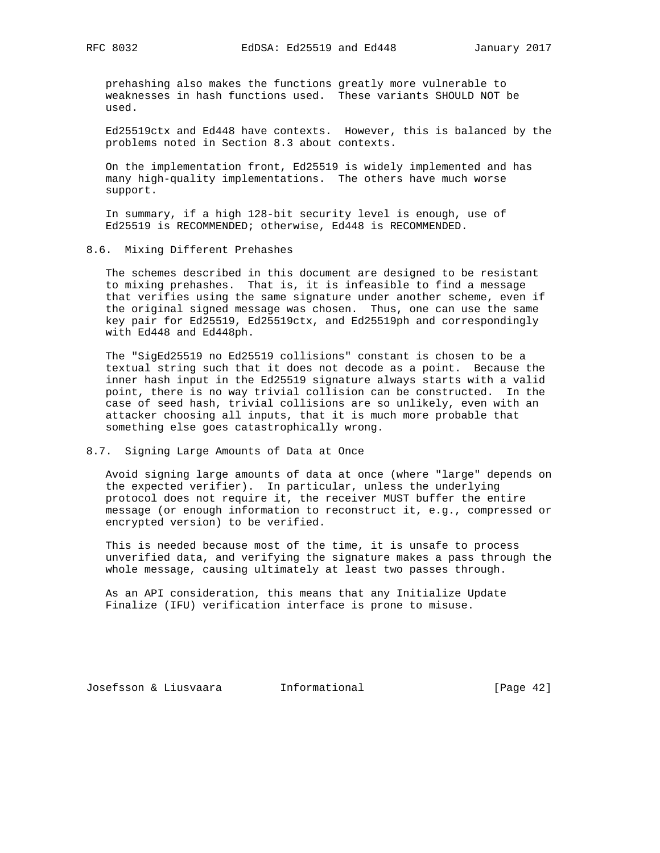prehashing also makes the functions greatly more vulnerable to weaknesses in hash functions used. These variants SHOULD NOT be used.

 Ed25519ctx and Ed448 have contexts. However, this is balanced by the problems noted in Section 8.3 about contexts.

 On the implementation front, Ed25519 is widely implemented and has many high-quality implementations. The others have much worse support.

 In summary, if a high 128-bit security level is enough, use of Ed25519 is RECOMMENDED; otherwise, Ed448 is RECOMMENDED.

## 8.6. Mixing Different Prehashes

 The schemes described in this document are designed to be resistant to mixing prehashes. That is, it is infeasible to find a message that verifies using the same signature under another scheme, even if the original signed message was chosen. Thus, one can use the same key pair for Ed25519, Ed25519ctx, and Ed25519ph and correspondingly with Ed448 and Ed448ph.

 The "SigEd25519 no Ed25519 collisions" constant is chosen to be a textual string such that it does not decode as a point. Because the inner hash input in the Ed25519 signature always starts with a valid point, there is no way trivial collision can be constructed. In the case of seed hash, trivial collisions are so unlikely, even with an attacker choosing all inputs, that it is much more probable that something else goes catastrophically wrong.

## 8.7. Signing Large Amounts of Data at Once

 Avoid signing large amounts of data at once (where "large" depends on the expected verifier). In particular, unless the underlying protocol does not require it, the receiver MUST buffer the entire message (or enough information to reconstruct it, e.g., compressed or encrypted version) to be verified.

 This is needed because most of the time, it is unsafe to process unverified data, and verifying the signature makes a pass through the whole message, causing ultimately at least two passes through.

 As an API consideration, this means that any Initialize Update Finalize (IFU) verification interface is prone to misuse.

Josefsson & Liusvaara Informational [Page 42]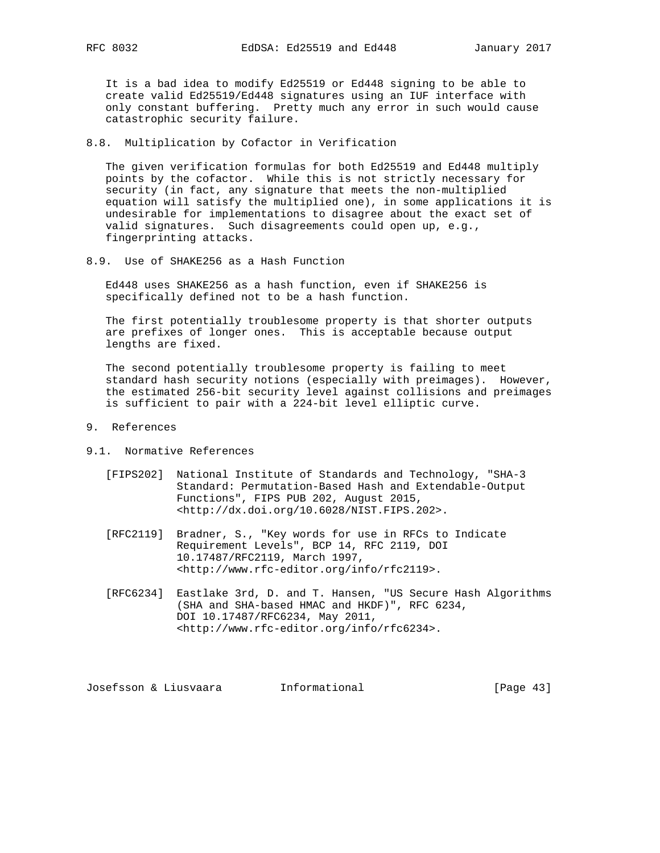It is a bad idea to modify Ed25519 or Ed448 signing to be able to create valid Ed25519/Ed448 signatures using an IUF interface with only constant buffering. Pretty much any error in such would cause catastrophic security failure.

8.8. Multiplication by Cofactor in Verification

 The given verification formulas for both Ed25519 and Ed448 multiply points by the cofactor. While this is not strictly necessary for security (in fact, any signature that meets the non-multiplied equation will satisfy the multiplied one), in some applications it is undesirable for implementations to disagree about the exact set of valid signatures. Such disagreements could open up, e.g., fingerprinting attacks.

8.9. Use of SHAKE256 as a Hash Function

 Ed448 uses SHAKE256 as a hash function, even if SHAKE256 is specifically defined not to be a hash function.

 The first potentially troublesome property is that shorter outputs are prefixes of longer ones. This is acceptable because output lengths are fixed.

 The second potentially troublesome property is failing to meet standard hash security notions (especially with preimages). However, the estimated 256-bit security level against collisions and preimages is sufficient to pair with a 224-bit level elliptic curve.

- 9. References
- 9.1. Normative References
	- [FIPS202] National Institute of Standards and Technology, "SHA-3 Standard: Permutation-Based Hash and Extendable-Output Functions", FIPS PUB 202, August 2015, <http://dx.doi.org/10.6028/NIST.FIPS.202>.
	- [RFC2119] Bradner, S., "Key words for use in RFCs to Indicate Requirement Levels", BCP 14, RFC 2119, DOI 10.17487/RFC2119, March 1997, <http://www.rfc-editor.org/info/rfc2119>.
	- [RFC6234] Eastlake 3rd, D. and T. Hansen, "US Secure Hash Algorithms (SHA and SHA-based HMAC and HKDF)", RFC 6234, DOI 10.17487/RFC6234, May 2011, <http://www.rfc-editor.org/info/rfc6234>.

Josefsson & Liusvaara Informational [Page 43]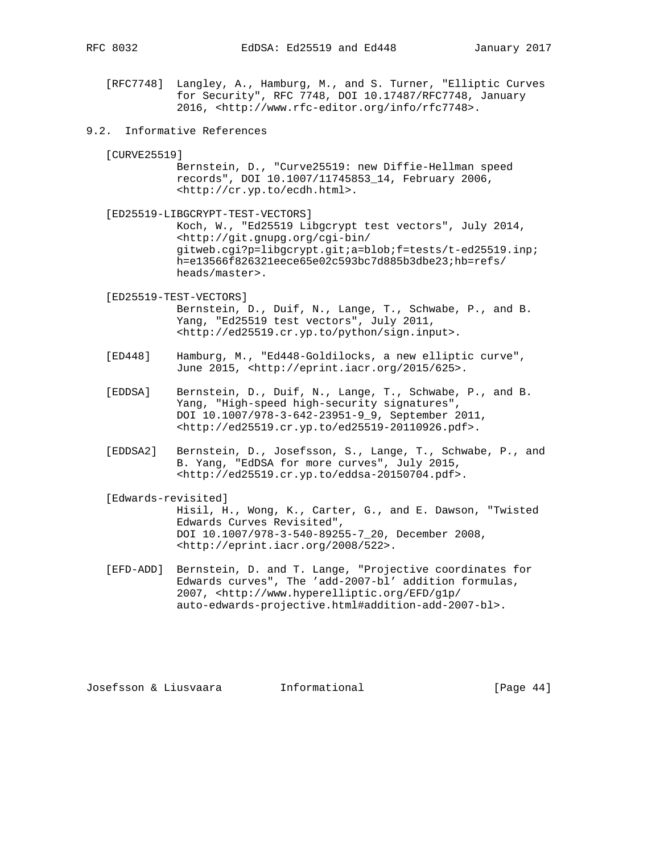- [RFC7748] Langley, A., Hamburg, M., and S. Turner, "Elliptic Curves for Security", RFC 7748, DOI 10.17487/RFC7748, January 2016, <http://www.rfc-editor.org/info/rfc7748>.
- 9.2. Informative References

[CURVE25519]

- Bernstein, D., "Curve25519: new Diffie-Hellman speed records", DOI 10.1007/11745853\_14, February 2006, <http://cr.yp.to/ecdh.html>.
- [ED25519-LIBGCRYPT-TEST-VECTORS] Koch, W., "Ed25519 Libgcrypt test vectors", July 2014, <http://git.gnupg.org/cgi-bin/ gitweb.cgi?p=libgcrypt.git;a=blob;f=tests/t-ed25519.inp; h=e13566f826321eece65e02c593bc7d885b3dbe23;hb=refs/ heads/master>.

 [ED25519-TEST-VECTORS] Bernstein, D., Duif, N., Lange, T., Schwabe, P., and B. Yang, "Ed25519 test vectors", July 2011, <http://ed25519.cr.yp.to/python/sign.input>.

- [ED448] Hamburg, M., "Ed448-Goldilocks, a new elliptic curve", June 2015, <http://eprint.iacr.org/2015/625>.
- [EDDSA] Bernstein, D., Duif, N., Lange, T., Schwabe, P., and B. Yang, "High-speed high-security signatures", DOI 10.1007/978-3-642-23951-9\_9, September 2011, <http://ed25519.cr.yp.to/ed25519-20110926.pdf>.
- [EDDSA2] Bernstein, D., Josefsson, S., Lange, T., Schwabe, P., and B. Yang, "EdDSA for more curves", July 2015, <http://ed25519.cr.yp.to/eddsa-20150704.pdf>.
- [Edwards-revisited]

 Hisil, H., Wong, K., Carter, G., and E. Dawson, "Twisted Edwards Curves Revisited", DOI 10.1007/978-3-540-89255-7\_20, December 2008, <http://eprint.iacr.org/2008/522>.

 [EFD-ADD] Bernstein, D. and T. Lange, "Projective coordinates for Edwards curves", The 'add-2007-bl' addition formulas, 2007, <http://www.hyperelliptic.org/EFD/g1p/ auto-edwards-projective.html#addition-add-2007-bl>.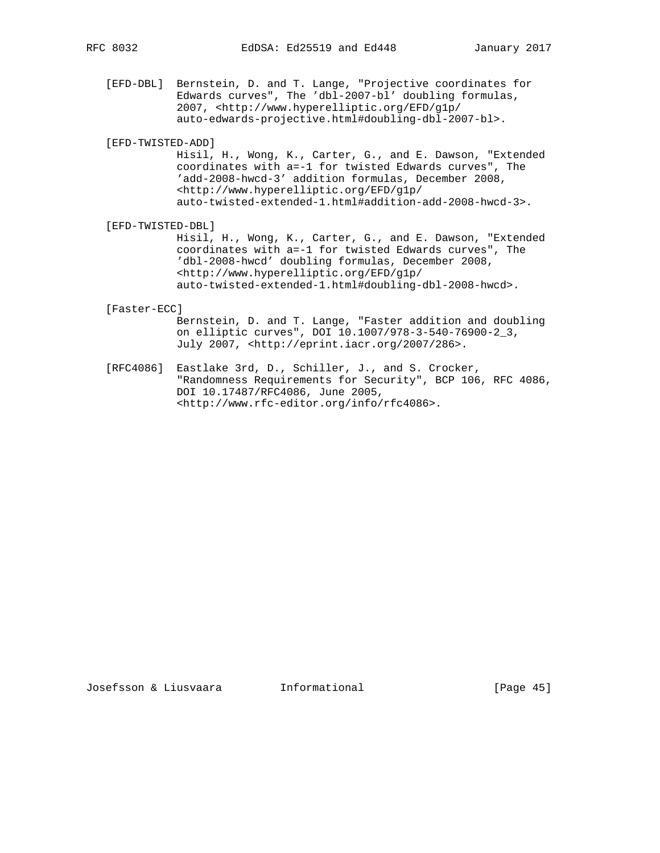[EFD-DBL] Bernstein, D. and T. Lange, "Projective coordinates for Edwards curves", The 'dbl-2007-bl' doubling formulas, 2007, <http://www.hyperelliptic.org/EFD/g1p/ auto-edwards-projective.html#doubling-dbl-2007-bl>.

# [EFD-TWISTED-ADD]

 Hisil, H., Wong, K., Carter, G., and E. Dawson, "Extended coordinates with a=-1 for twisted Edwards curves", The 'add-2008-hwcd-3' addition formulas, December 2008, <http://www.hyperelliptic.org/EFD/g1p/ auto-twisted-extended-1.html#addition-add-2008-hwcd-3>.

# [EFD-TWISTED-DBL]

 Hisil, H., Wong, K., Carter, G., and E. Dawson, "Extended coordinates with a=-1 for twisted Edwards curves", The 'dbl-2008-hwcd' doubling formulas, December 2008, <http://www.hyperelliptic.org/EFD/g1p/ auto-twisted-extended-1.html#doubling-dbl-2008-hwcd>.

#### [Faster-ECC]

 Bernstein, D. and T. Lange, "Faster addition and doubling on elliptic curves", DOI 10.1007/978-3-540-76900-2\_3, July 2007, <http://eprint.iacr.org/2007/286>.

 [RFC4086] Eastlake 3rd, D., Schiller, J., and S. Crocker, "Randomness Requirements for Security", BCP 106, RFC 4086, DOI 10.17487/RFC4086, June 2005, <http://www.rfc-editor.org/info/rfc4086>.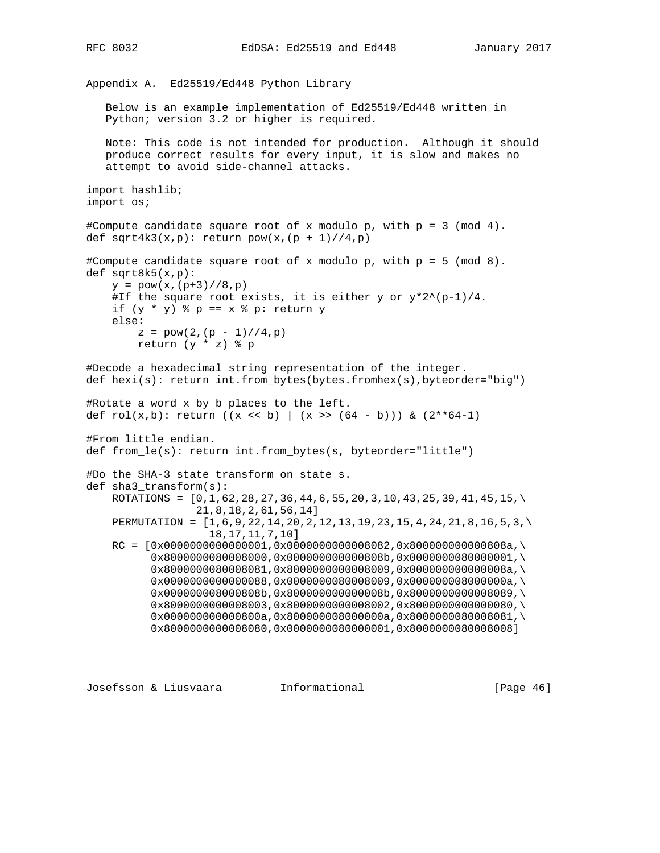RFC 8032 EdDSA: Ed25519 and Ed448 January 2017

Appendix A. Ed25519/Ed448 Python Library Below is an example implementation of Ed25519/Ed448 written in Python; version 3.2 or higher is required. Note: This code is not intended for production. Although it should produce correct results for every input, it is slow and makes no attempt to avoid side-channel attacks. import hashlib; import os; #Compute candidate square root of x modulo p, with p = 3 (mod 4). def sqrt4k3(x,p): return  $pow(x,(p + 1)//4,p)$ #Compute candidate square root of x modulo p, with p = 5 (mod 8). def sqrt8k5(x,p):  $y = pow(x,(p+3)//8,p)$ #If the square root exists, it is either y or  $y*2^{\lambda}(p-1)/4$ . if  $(y * y)$   $\phi = x \cdot \phi$  p: return y else:  $z = pow(2, (p - 1) // 4, p)$  return (y \* z) % p #Decode a hexadecimal string representation of the integer. def hexi(s): return int.from\_bytes(bytes.fromhex(s),byteorder="big") #Rotate a word x by b places to the left. def rol(x,b): return ((x << b) | (x >> (64 - b))) & (2\*\*64-1) #From little endian. def from\_le(s): return int.from\_bytes(s, byteorder="little") #Do the SHA-3 state transform on state s. def sha3\_transform(s): ROTATIONS =  $[0,1,62,28,27,36,44,6,55,20,3,10,43,25,39,41,45,15,\)$  21,8,18,2,61,56,14] PERMUTATION = [1,6,9,22,14,20,2,12,13,19,23,15,4,24,21,8,16,5,3,\ 18,17,11,7,10]  $RC = [0x0000000000000001, 0x000000000008082, 0x80000000000808a, \$  0x8000000080008000,0x000000000000808b,0x0000000080000001,\ 0x8000000080008081,0x8000000000008009,0x000000000000008a,\ 0x0000000000000088,0x0000000080008009,0x000000008000000a,\ 0x000000008000808b,0x800000000000008b,0x8000000000008089,\ 0x8000000000008003,0x8000000000008002,0x8000000000000080,\ 0x000000000000800a,0x800000008000000a,0x8000000080008081,\ 0x8000000000008080,0x0000000080000001,0x8000000080008008]

Josefsson & Liusvaara Informational [Page 46]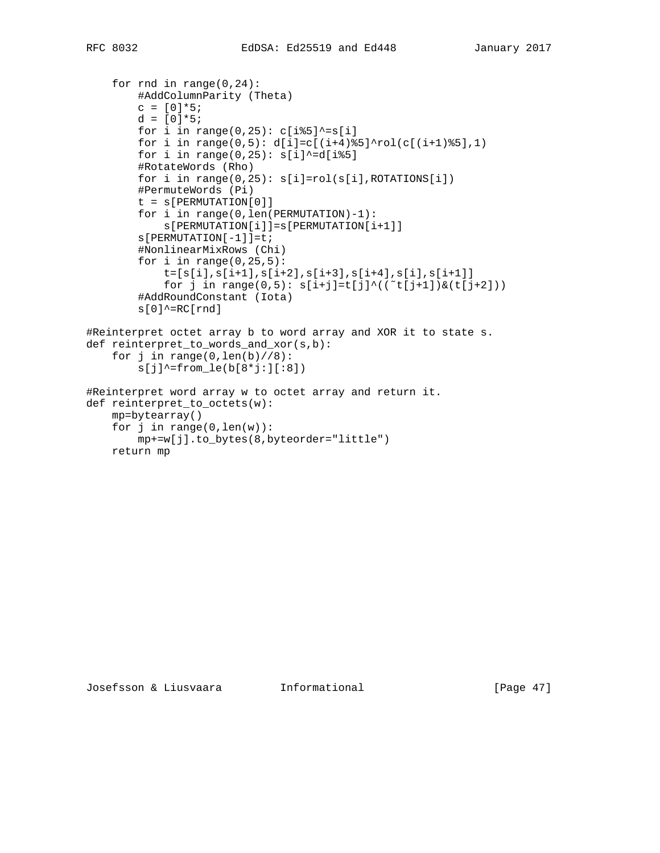```
 for rnd in range(0,24):
         #AddColumnParity (Theta)
        c = [0]*5;d = [0]*5;for i in range(0,25): c[i§5]<sup>2</sup>=s[i]
        for i in range(0,5): d[i]=c[(i+4)%5]^rol(c[(i+1)%5],1)
        for i in range(0,25): s[i]'^{\sim}=d[i§5] #RotateWords (Rho)
        for i in range(0,25): s[i]=rol(s[i],ROTATIONS[i]) #PermuteWords (Pi)
        t = s[PERMUTATION[0]] for i in range(0,len(PERMUTATION)-1):
             s[PERMUTATION[i]]=s[PERMUTATION[i+1]]
        s[PERMUTATION[-1]]=t; #NonlinearMixRows (Chi)
        for i in range(0, 25, 5):
            t=[s[i],s[i+1],s[i+2],s[i+3],s[i+4],s[i],s[i+1]]for j in range(0,5): s[i+j]=t[j]<sup>(("t[j+1])&(t[j+2]))</sup>
         #AddRoundConstant (Iota)
        s[0]<sup>\sim=RC[rnd]</sup>
#Reinterpret octet array b to word array and XOR it to state s.
def reinterpret_to_words_and_xor(s,b):
    for j in range(0, len(b)//8):
        s[j]'-from_le(b[8*j:][:8])
#Reinterpret word array w to octet array and return it.
def reinterpret_to_octets(w):
     mp=bytearray()
    for j in range(0, len(w)):
         mp+=w[j].to_bytes(8,byteorder="little")
     return mp
```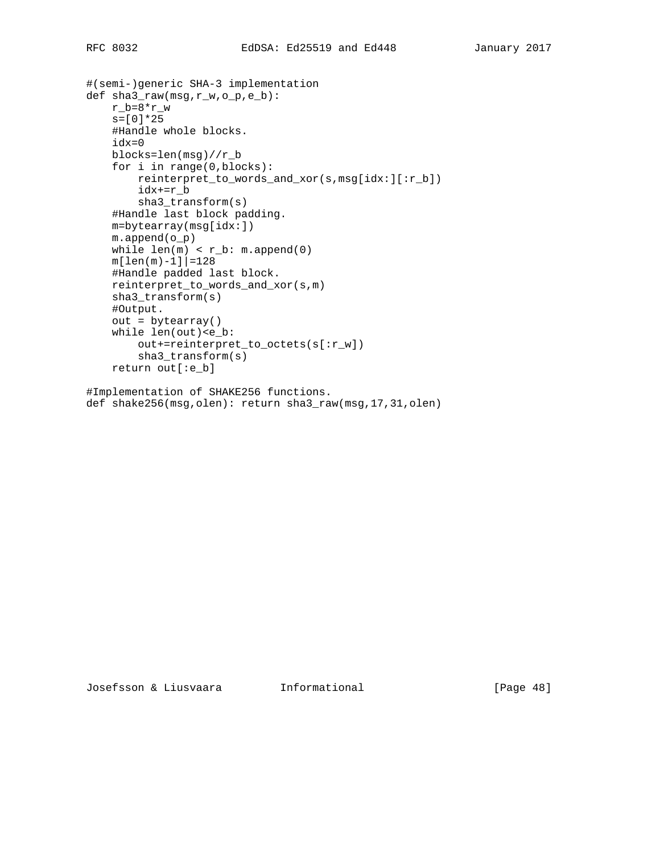```
#(semi-)generic SHA-3 implementation
def sha3_raw(msg,r_w,o_p,e_b):
    r_b = 8*r_ws=[0]*25 #Handle whole blocks.
     idx=0
     blocks=len(msg)//r_b
     for i in range(0,blocks):
         reinterpret_to_words_and_xor(s,msg[idx:][:r_b])
         idx+=r_b
         sha3_transform(s)
     #Handle last block padding.
     m=bytearray(msg[idx:])
     m.append(o_p)
    while len(m) < r_b: m.append(0)
    m[len(m)-1]|=128 #Handle padded last block.
     reinterpret_to_words_and_xor(s,m)
     sha3_transform(s)
     #Output.
    out = bytearray() while len(out)<e_b:
         out+=reinterpret_to_octets(s[:r_w])
         sha3_transform(s)
     return out[:e_b]
```
#Implementation of SHAKE256 functions. def shake256(msg,olen): return sha3\_raw(msg,17,31,olen)

Josefsson & Liusvaara Informational [Page 48]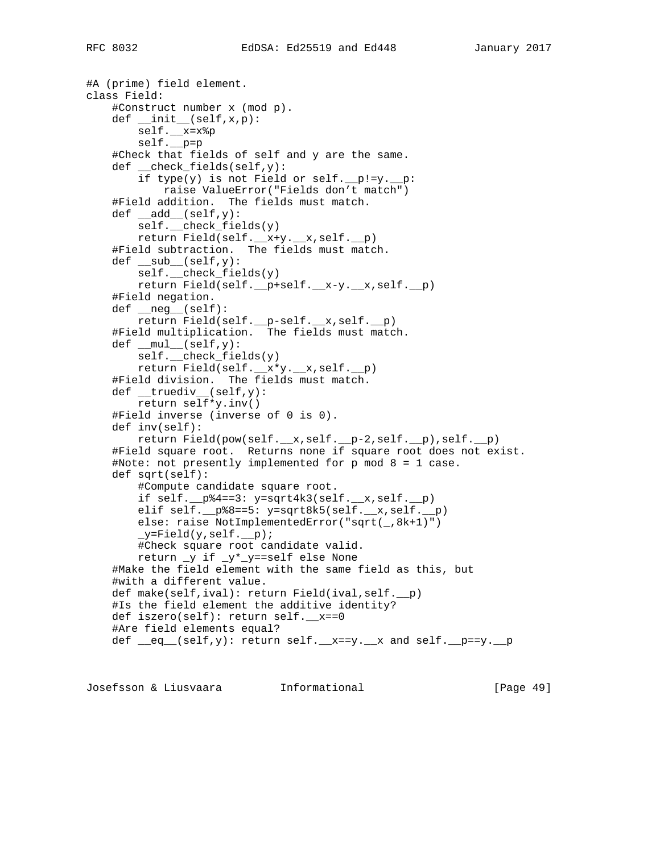#A (prime) field element. class Field: #Construct number x (mod p). def \_\_init\_\_(self,x,p): self.\_\_x=x%p self.\_\_p=p #Check that fields of self and y are the same. def \_\_check\_fields(self,y): if type(y) is not Field or self.  $p!=y$ .  $p$ : raise ValueError("Fields don't match") #Field addition. The fields must match.  $def \_add \_ (self, y):$ self. check  $fields(y)$  return Field(self.\_\_x+y.\_\_x,self.\_\_p) #Field subtraction. The fields must match.  $def \_\sub{sub}(self, y)$ : self.\_\_check\_fields(y) return Field(self.\_\_p+self.\_\_x-y.\_\_x,self.\_\_p) #Field negation. def \_\_neg\_\_(self): return Field(self.\_\_p-self.\_\_x,self.\_\_p) #Field multiplication. The fields must match.  $def \_\text{mul}$  (self, y): self.\_\_check\_fields(y) return Field(self.\_\_x\*y.\_\_x,self.\_\_p) #Field division. The fields must match. def \_\_truediv\_\_(self,y): return self\*y.inv() #Field inverse (inverse of 0 is 0). def inv(self): return Field(pow(self.\_\_x,self.\_\_p-2,self.\_\_p),self.\_\_p) #Field square root. Returns none if square root does not exist. #Note: not presently implemented for p mod 8 = 1 case. def sqrt(self): #Compute candidate square root. if self.\_\_p%4==3: y=sqrt4k3(self.\_\_x,self.\_\_p) elif self.\_p%8==5: y=sqrt8k5(self.\_x,self.\_p) else: raise NotImplementedError("sqrt(\_,8k+1)")  $_y$ =Field(y, self.  $_p)$ ; #Check square root candidate valid. return \_y if \_y\*\_y==self else None #Make the field element with the same field as this, but #with a different value. def make(self,ival): return Field(ival,self.\_\_p) #Is the field element the additive identity? def iszero(self): return self.\_\_x==0 #Are field elements equal? def  $eq_{eq}$  (self,y): return self.  $x=y$ . x and self.  $p=xy$ . p

Josefsson & Liusvaara Informational [Page 49]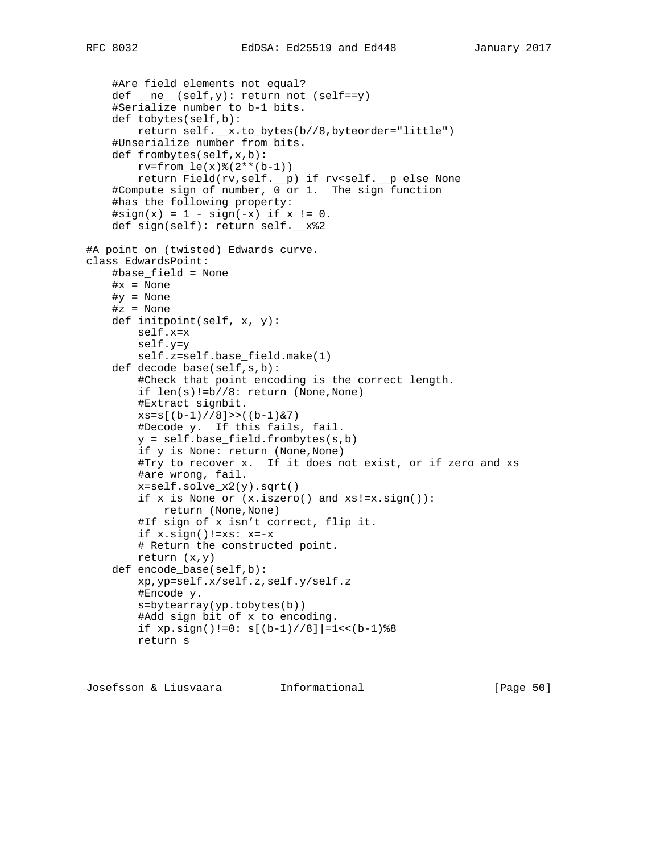```
 #Are field elements not equal?
    def ne_{\text{self},y}: return not (self==y)
     #Serialize number to b-1 bits.
     def tobytes(self,b):
         return self.__x.to_bytes(b//8,byteorder="little")
     #Unserialize number from bits.
     def frombytes(self,x,b):
        rv = from \leq (x) \cdot (2 \cdot * (b-1))return Field(rv, self._p) if rv<self._p else None
     #Compute sign of number, 0 or 1. The sign function
     #has the following property:
    \#sign(x) = 1 - sign(-x) if x := 0.
     def sign(self): return self.__x%2
#A point on (twisted) Edwards curve.
class EdwardsPoint:
     #base_field = None
     #x = None
     #y = None
     #z = None
     def initpoint(self, x, y):
         self.x=x
         self.y=y
         self.z=self.base_field.make(1)
     def decode_base(self,s,b):
         #Check that point encoding is the correct length.
         if len(s)!=b//8: return (None,None)
         #Extract signbit.
        xs=s[(b-1)//8]>((b-1)&7) #Decode y. If this fails, fail.
         y = self.base_field.frombytes(s,b)
         if y is None: return (None,None)
         #Try to recover x. If it does not exist, or if zero and xs
         #are wrong, fail.
         x=self.solve_x2(y).sqrt()
         if x is None or (x.iszero() and xs!=x.sign()):
             return (None,None)
         #If sign of x isn't correct, flip it.
        if x.sizein() != xs: x=-x # Return the constructed point.
         return (x,y)
     def encode_base(self,b):
         xp,yp=self.x/self.z,self.y/self.z
         #Encode y.
         s=bytearray(yp.tobytes(b))
```

```
if xp \text{.} \text{sign}() != 0: s[(b-1)/8] |=1 < (b-1)%8
 return s
```
#Add sign bit of x to encoding.

Josefsson & Liusvaara Informational [Page 50]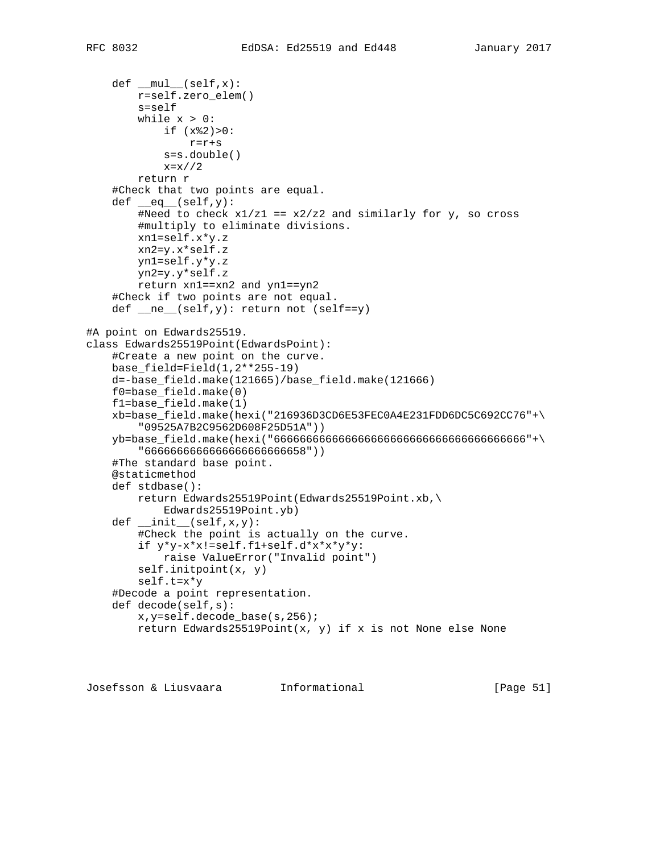```
def \_\text{mul}(self, x): r=self.zero_elem()
         s=self
        while x > 0:
             if (x%2)>0:
                r=r+s
             s=s.double()
             x=x//2
         return r
     #Check that two points are equal.
    def \_\_eq(self,y):
        #Need to check x1/z1 == x2/z2 and similarly for y, so cross
         #multiply to eliminate divisions.
         xn1=self.x*y.z
         xn2=y.x*self.z
         yn1=self.y*y.z
         yn2=y.y*self.z
         return xn1==xn2 and yn1==yn2
     #Check if two points are not equal.
    def ne_{\text{self},y}: return not (self==y)
#A point on Edwards25519.
class Edwards25519Point(EdwardsPoint):
     #Create a new point on the curve.
    base_field=Field(1,2**255-19)
     d=-base_field.make(121665)/base_field.make(121666)
     f0=base_field.make(0)
     f1=base_field.make(1)
     xb=base_field.make(hexi("216936D3CD6E53FEC0A4E231FDD6DC5C692CC76"+\
         "09525A7B2C9562D608F25D51A"))
     yb=base_field.make(hexi("666666666666666666666666666666666666666"+\
         "6666666666666666666666658"))
     #The standard base point.
     @staticmethod
     def stdbase():
         return Edwards25519Point(Edwards25519Point.xb,\
             Edwards25519Point.yb)
     def __init__(self,x,y):
         #Check the point is actually on the curve.
         if y*y-x*x!=self.f1+self.d*x*x*y*y:
             raise ValueError("Invalid point")
         self.initpoint(x, y)
         self.t=x*y
     #Decode a point representation.
     def decode(self,s):
         x,y=self.decode_base(s,256);
         return Edwards25519Point(x, y) if x is not None else None
```
Josefsson & Liusvaara Informational [Page 51]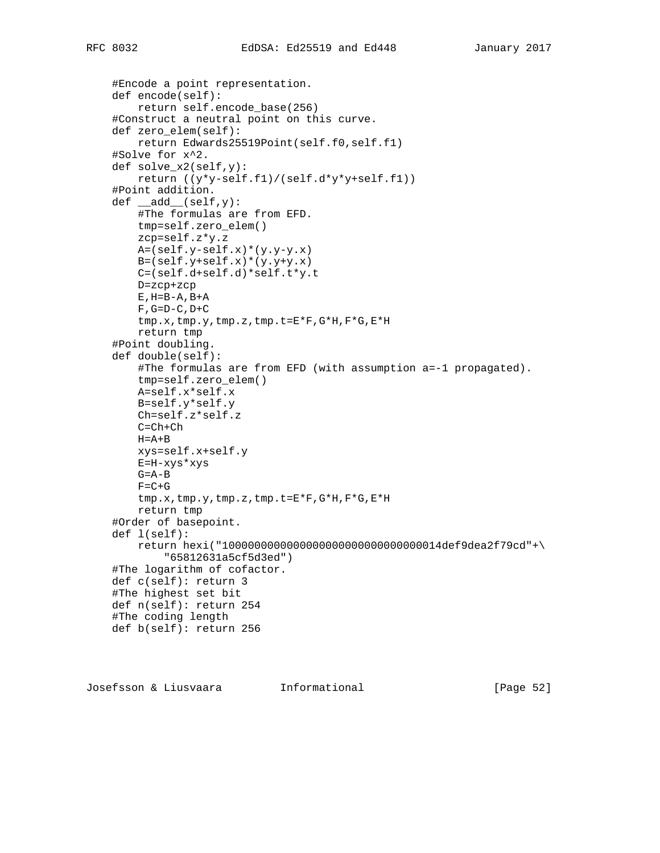```
 #Encode a point representation.
 def encode(self):
     return self.encode_base(256)
 #Construct a neutral point on this curve.
 def zero_elem(self):
     return Edwards25519Point(self.f0,self.f1)
 #Solve for x^2.
 def solve_x2(self,y):
     return ((y*y-self.f1)/(self.d*y*y+self.f1))
 #Point addition.
def \_\_add\_\(self, y): #The formulas are from EFD.
     tmp=self.zero_elem()
     zcp=self.z*y.z
     A=(self.y-self.x)*(y.y-y.x)
     B=(self.y+self.x)*(y.y+y.x)
     C=(self.d+self.d)*self.t*y.t
     D=zcp+zcp
    E, H=B-A, B+AF, G=D-C, D+C tmp.x,tmp.y,tmp.z,tmp.t=E*F,G*H,F*G,E*H
     return tmp
 #Point doubling.
 def double(self):
     #The formulas are from EFD (with assumption a=-1 propagated).
     tmp=self.zero_elem()
     A=self.x*self.x
     B=self.y*self.y
     Ch=self.z*self.z
    C = Ch + ChH = A + B xys=self.x+self.y
     E=H-xys*xys
     G=A-B
    F = C + G tmp.x,tmp.y,tmp.z,tmp.t=E*F,G*H,F*G,E*H
     return tmp
 #Order of basepoint.
 def l(self):
     return hexi("1000000000000000000000000000000014def9dea2f79cd"+\
         "65812631a5cf5d3ed")
 #The logarithm of cofactor.
 def c(self): return 3
 #The highest set bit
 def n(self): return 254
 #The coding length
 def b(self): return 256
```
Josefsson & Liusvaara Informational [Page 52]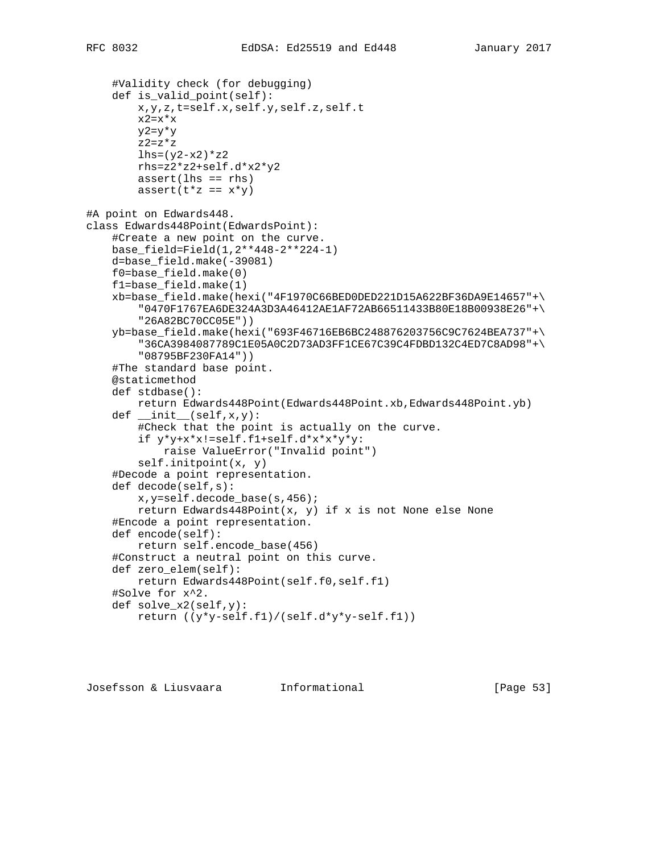```
 #Validity check (for debugging)
     def is_valid_point(self):
         x,y,z,t=self.x,self.y,self.z,self.t
        x2=x*x y2=y*y
        z2=z*zlhs=(y2-x2)*z2 rhs=z2*z2+self.d*x2*y2
        assert(lhs == rhs)assert(t * z == x * y)#A point on Edwards448.
class Edwards448Point(EdwardsPoint):
     #Create a new point on the curve.
     base_field=Field(1,2**448-2**224-1)
     d=base_field.make(-39081)
     f0=base_field.make(0)
     f1=base_field.make(1)
     xb=base_field.make(hexi("4F1970C66BED0DED221D15A622BF36DA9E14657"+\
         "0470F1767EA6DE324A3D3A46412AE1AF72AB66511433B80E18B00938E26"+\
         "26A82BC70CC05E"))
     yb=base_field.make(hexi("693F46716EB6BC248876203756C9C7624BEA737"+\
         "36CA3984087789C1E05A0C2D73AD3FF1CE67C39C4FDBD132C4ED7C8AD98"+\
         "08795BF230FA14"))
     #The standard base point.
     @staticmethod
     def stdbase():
         return Edwards448Point(Edwards448Point.xb,Edwards448Point.yb)
    def __init__(self,x,y): #Check that the point is actually on the curve.
         if y*y+x*x!=self.f1+self.d*x*x*y*y:
             raise ValueError("Invalid point")
         self.initpoint(x, y)
     #Decode a point representation.
     def decode(self,s):
         x,y=self.decode_base(s,456);
         return Edwards448Point(x, y) if x is not None else None
     #Encode a point representation.
     def encode(self):
         return self.encode_base(456)
     #Construct a neutral point on this curve.
     def zero_elem(self):
         return Edwards448Point(self.f0,self.f1)
     #Solve for x^2.
     def solve_x2(self,y):
         return ((y*y-self.f1)/(self.d*y*y-self.f1))
```
Josefsson & Liusvaara Informational [Page 53]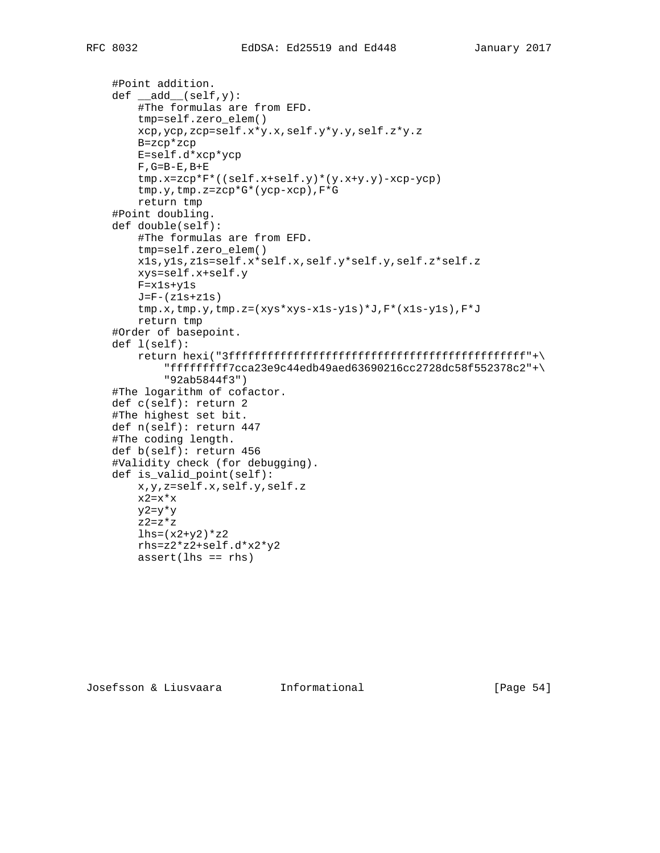```
 #Point addition.
def \_add \_ (self, y): #The formulas are from EFD.
     tmp=self.zero_elem()
     xcp,ycp,zcp=self.x*y.x,self.y*y.y,self.z*y.z
     B=zcp*zcp
     E=self.d*xcp*ycp
    F, G=B-E, B+E tmp.x=zcp*F*((self.x+self.y)*(y.x+y.y)-xcp-ycp)
     tmp.y,tmp.z=zcp*G*(ycp-xcp),F*G
     return tmp
 #Point doubling.
 def double(self):
     #The formulas are from EFD.
     tmp=self.zero_elem()
     x1s,y1s,z1s=self.x*self.x,self.y*self.y,self.z*self.z
     xys=self.x+self.y
     F=x1s+y1s
    J=F-(z1s+z1s)tmp.x,tmp.y,tmp.z=(xys*xyz-xls-yls)*J,F*(xls-yls),F*J return tmp
 #Order of basepoint.
 def l(self):
     return hexi("3ffffffffffffffffffffffffffffffffffffffffffffff"+\
         "fffffffff7cca23e9c44edb49aed63690216cc2728dc58f552378c2"+\
         "92ab5844f3")
 #The logarithm of cofactor.
 def c(self): return 2
 #The highest set bit.
 def n(self): return 447
 #The coding length.
 def b(self): return 456
 #Validity check (for debugging).
 def is_valid_point(self):
     x,y,z=self.x,self.y,self.z
    x2=x*x y2=y*y
    z^2=z*zlhs=(x2+y2)*z2 rhs=z2*z2+self.d*x2*y2
```
Josefsson & Liusvaara Informational [Page 54]

 $assert(lhs == rhs)$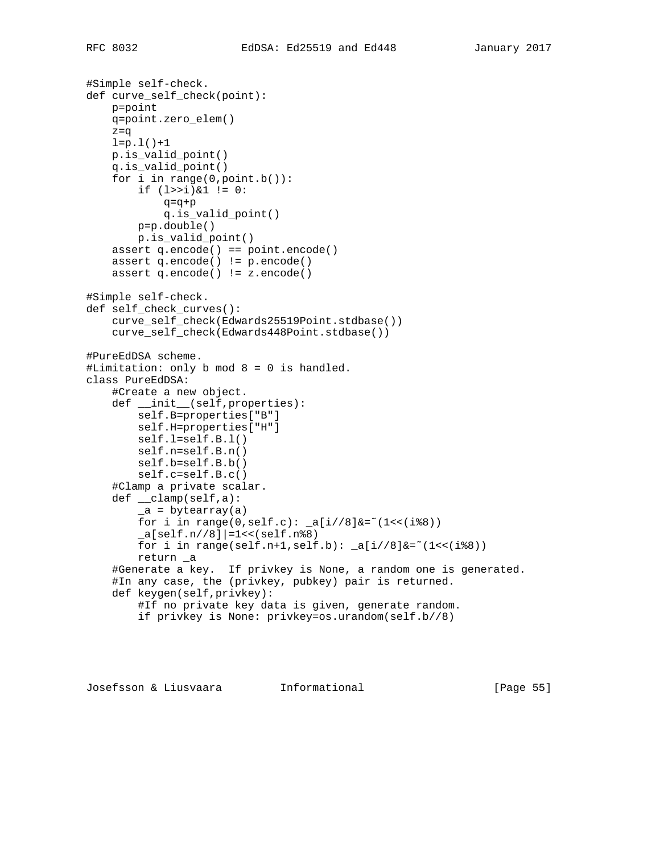```
#Simple self-check.
def curve_self_check(point):
     p=point
    q=point.zero_elem()
     z=q
   l=p.l()+1 p.is_valid_point()
     q.is_valid_point()
     for i in range(0,point.b()):
        if (1>>i)\&1 := 0:
             q=q+p
             q.is_valid_point()
         p=p.double()
         p.is_valid_point()
     assert q.encode() == point.encode()
     assert q.encode() != p.encode()
     assert q.encode() != z.encode()
#Simple self-check.
def self_check_curves():
    curve_self_check(Edwards25519Point.stdbase())
     curve_self_check(Edwards448Point.stdbase())
#PureEdDSA scheme.
#Limitation: only b mod 8 = 0 is handled.
class PureEdDSA:
     #Create a new object.
     def __init__(self,properties):
         self.B=properties["B"]
         self.H=properties["H"]
         self.l=self.B.l()
         self.n=self.B.n()
         self.b=self.B.b()
         self.c=self.B.c()
     #Clamp a private scalar.
     def __clamp(self,a):
         _a = bytearray(a)
        for i in range(0,self.c): _a[i//8]&=~(1<<(i%8))
        [a[self.n//8]|=1<<(self.n%8)
        for i in range(self.n+1,self.b): _a[i//8]&=~(1<<(i%8))
         return _a
     #Generate a key. If privkey is None, a random one is generated.
     #In any case, the (privkey, pubkey) pair is returned.
     def keygen(self,privkey):
         #If no private key data is given, generate random.
         if privkey is None: privkey=os.urandom(self.b//8)
```
Josefsson & Liusvaara Informational [Page 55]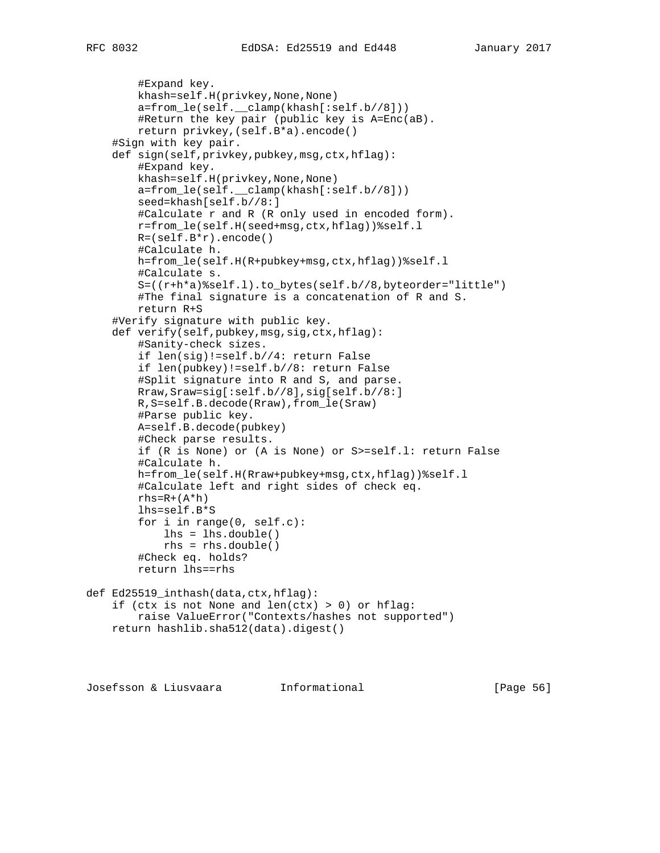```
 #Expand key.
         khash=self.H(privkey,None,None)
         a=from_le(self.__clamp(khash[:self.b//8]))
         #Return the key pair (public key is A=Enc(aB).
         return privkey,(self.B*a).encode()
     #Sign with key pair.
     def sign(self,privkey,pubkey,msg,ctx,hflag):
         #Expand key.
         khash=self.H(privkey,None,None)
        a = from \leq (self. \text{clamp}(khash[:self.b//8])) seed=khash[self.b//8:]
         #Calculate r and R (R only used in encoded form).
         r=from_le(self.H(seed+msg,ctx,hflag))%self.l
        R = (self.B*r) . encode() #Calculate h.
         h=from_le(self.H(R+pubkey+msg,ctx,hflag))%self.l
         #Calculate s.
         S=((r+h*a)%self.l).to_bytes(self.b//8,byteorder="little")
         #The final signature is a concatenation of R and S.
         return R+S
     #Verify signature with public key.
     def verify(self,pubkey,msg,sig,ctx,hflag):
         #Sanity-check sizes.
         if len(sig)!=self.b//4: return False
         if len(pubkey)!=self.b//8: return False
         #Split signature into R and S, and parse.
         Rraw,Sraw=sig[:self.b//8],sig[self.b//8:]
         R,S=self.B.decode(Rraw),from_le(Sraw)
         #Parse public key.
         A=self.B.decode(pubkey)
         #Check parse results.
         if (R is None) or (A is None) or S>=self.l: return False
         #Calculate h.
         h=from_le(self.H(Rraw+pubkey+msg,ctx,hflag))%self.l
         #Calculate left and right sides of check eq.
        rhs=R+(A*h) lhs=self.B*S
         for i in range(0, self.c):
             lhs = lhs.double()
             rhs = rhs.double()
         #Check eq. holds?
         return lhs==rhs
def Ed25519_inthash(data,ctx,hflag):
    if (ctx is not None and len(ctx) > 0) or hflag:
         raise ValueError("Contexts/hashes not supported")
     return hashlib.sha512(data).digest()
```
Josefsson & Liusvaara Informational [Page 56]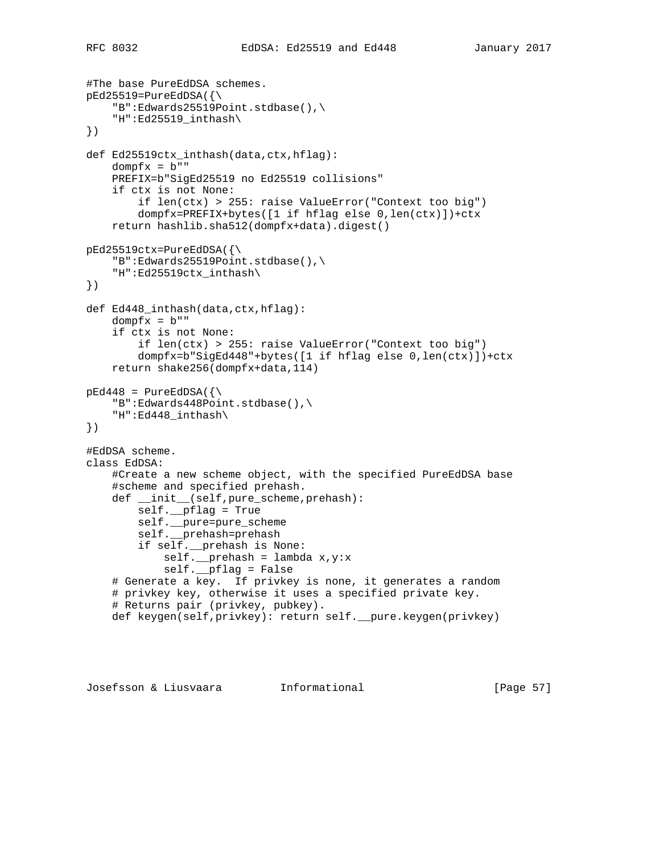#The base PureEdDSA schemes.  $pEd25519 = PureEdDSA({\{\}$  "B":Edwards25519Point.stdbase(),\ "H":Ed25519\_inthash\ }) def Ed25519ctx\_inthash(data,ctx,hflag):  $dompfx = b"$  PREFIX=b"SigEd25519 no Ed25519 collisions" if ctx is not None: if len(ctx) > 255: raise ValueError("Context too big") dompfx=PREFIX+bytes([1 if hflag else 0,len(ctx)])+ctx return hashlib.sha512(dompfx+data).digest() pEd25519ctx=PureEdDSA({\ "B":Edwards25519Point.stdbase(),\ "H":Ed25519ctx\_inthash\ }) def Ed448\_inthash(data,ctx,hflag):  $dompfx = b"$  if ctx is not None: if len(ctx) > 255: raise ValueError("Context too big") dompfx=b"SigEd448"+bytes([1 if hflag else 0,len(ctx)])+ctx return shake256(dompfx+data,114)  $pEd448$  = PureEdDSA( $\{\setminus$  "B":Edwards448Point.stdbase(),\ "H":Ed448\_inthash\ }) #EdDSA scheme. class EdDSA: #Create a new scheme object, with the specified PureEdDSA base #scheme and specified prehash. def \_\_init\_\_(self,pure\_scheme,prehash): self.\_\_pflag = True self.\_\_pure=pure\_scheme self.\_\_prehash=prehash if self.\_\_prehash is None: self.\_\_prehash = lambda x,y:x self.\_\_pflag = False # Generate a key. If privkey is none, it generates a random # privkey key, otherwise it uses a specified private key. # Returns pair (privkey, pubkey). def keygen(self,privkey): return self.\_\_pure.keygen(privkey)

Josefsson & Liusvaara Informational [Page 57]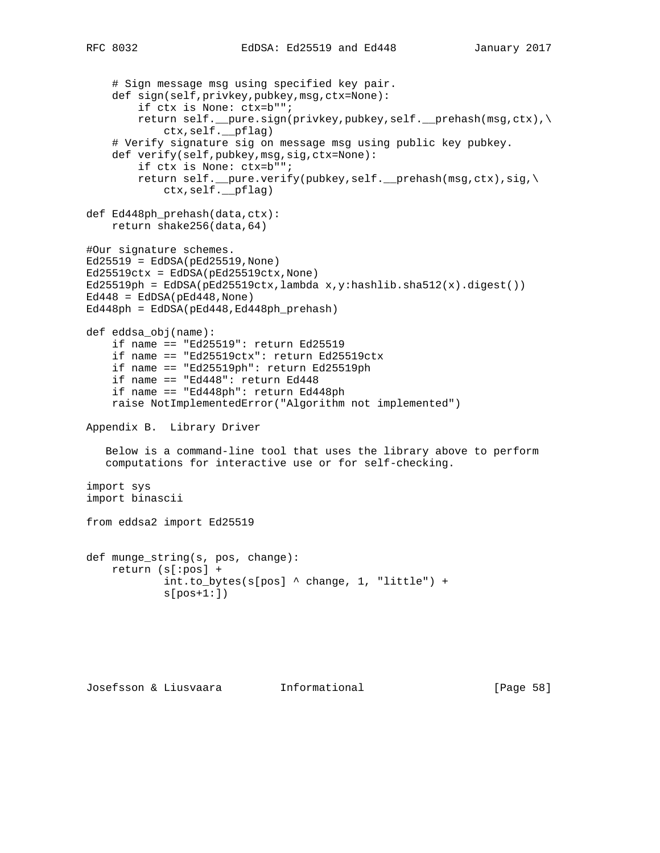```
 # Sign message msg using specified key pair.
     def sign(self,privkey,pubkey,msg,ctx=None):
         if ctx is None: ctx=b"";
         return self.__pure.sign(privkey,pubkey,self.__prehash(msg,ctx),\
             ctx,self.__pflag)
     # Verify signature sig on message msg using public key pubkey.
     def verify(self,pubkey,msg,sig,ctx=None):
         if ctx is None: ctx=b"";
         return self.__pure.verify(pubkey,self.__prehash(msg,ctx),sig,\
             ctx,self.__pflag)
def Ed448ph_prehash(data,ctx):
     return shake256(data,64)
#Our signature schemes.
Ed25519 = EdDSA(pEd25519,None)
Ed25519ctx = EdDSA(pEd25519ctx, None)Ed25519ph = EdDSA(pEd25519ctx, lambda x, y:hashlib.sha512(x).digest())Ed448 = EdDSA(pEd448,None)Ed448ph = EdDSA(pEd448,Ed448ph_prehash)
def eddsa_obj(name):
     if name == "Ed25519": return Ed25519
     if name == "Ed25519ctx": return Ed25519ctx
     if name == "Ed25519ph": return Ed25519ph
     if name == "Ed448": return Ed448
     if name == "Ed448ph": return Ed448ph
     raise NotImplementedError("Algorithm not implemented")
Appendix B. Library Driver
    Below is a command-line tool that uses the library above to perform
   computations for interactive use or for self-checking.
import sys
import binascii
from eddsa2 import Ed25519
def munge_string(s, pos, change):
    return (s[:pos] +
             int.to_bytes(s[pos] ^ change, 1, "little") +
            s[pos+1:])
```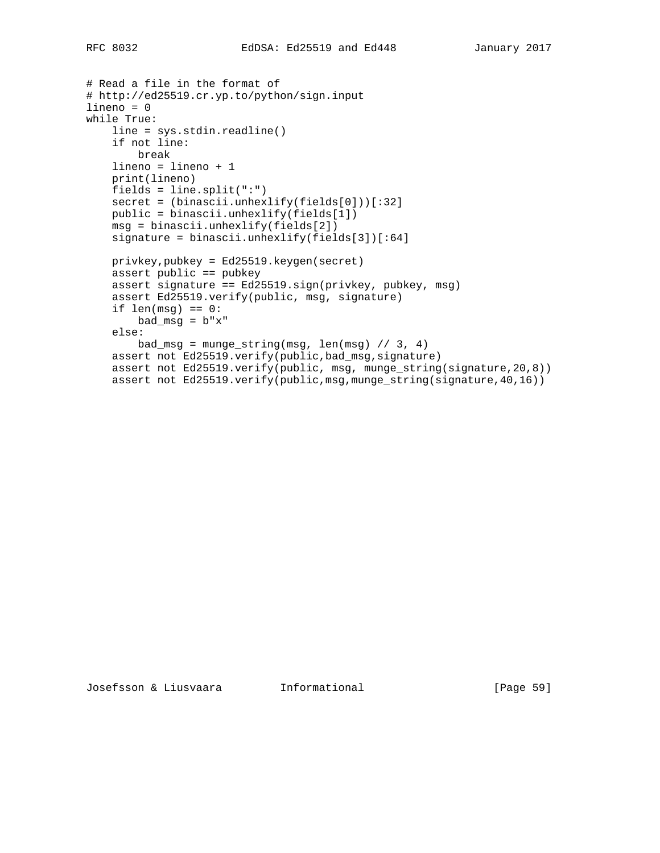```
# Read a file in the format of
# http://ed25519.cr.yp.to/python/sign.input
lineno = 0
while True:
     line = sys.stdin.readline()
     if not line:
         break
     lineno = lineno + 1
     print(lineno)
    fields = line.split(":") secret = (binascii.unhexlify(fields[0]))[:32]
     public = binascii.unhexlify(fields[1])
     msg = binascii.unhexlify(fields[2])
    signature = binascii.unhexlify(fields[3])[:64]
     privkey,pubkey = Ed25519.keygen(secret)
     assert public == pubkey
     assert signature == Ed25519.sign(privkey, pubkey, msg)
     assert Ed25519.verify(public, msg, signature)
    if len(msg) == 0:
       bad_msg = b''x'' else:
        bad_msg = munge\_string(msg, len(msg) // 3, 4)
     assert not Ed25519.verify(public,bad_msg,signature)
     assert not Ed25519.verify(public, msg, munge_string(signature,20,8))
     assert not Ed25519.verify(public,msg,munge_string(signature,40,16))
```